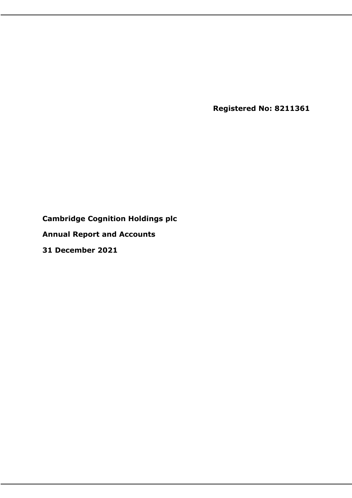**Registered No: 8211361**

**Cambridge Cognition Holdings plc** 

**Annual Report and Accounts**

**31 December 2021**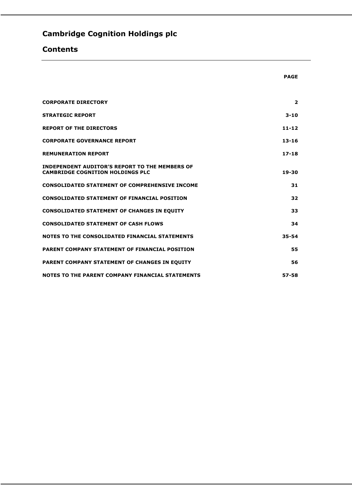### **Contents**

|                                                                                                  | <b>PAGE</b>  |
|--------------------------------------------------------------------------------------------------|--------------|
| <b>CORPORATE DIRECTORY</b>                                                                       | $\mathbf{2}$ |
| <b>STRATEGIC REPORT</b>                                                                          | $3 - 10$     |
| <b>REPORT OF THE DIRECTORS</b>                                                                   | $11 - 12$    |
| <b>CORPORATE GOVERNANCE REPORT</b>                                                               | $13 - 16$    |
| <b>REMUNERATION REPORT</b>                                                                       | $17 - 18$    |
| <b>INDEPENDENT AUDITOR'S REPORT TO THE MEMBERS OF</b><br><b>CAMBRIDGE COGNITION HOLDINGS PLC</b> | 19-30        |
| <b>CONSOLIDATED STATEMENT OF COMPREHENSIVE INCOME</b>                                            | 31           |
| <b>CONSOLIDATED STATEMENT OF FINANCIAL POSITION</b>                                              | 32           |
| <b>CONSOLIDATED STATEMENT OF CHANGES IN EQUITY</b>                                               | 33           |
| <b>CONSOLIDATED STATEMENT OF CASH FLOWS</b>                                                      | 34           |
| NOTES TO THE CONSOLIDATED FINANCIAL STATEMENTS                                                   | $35 - 54$    |
| PARENT COMPANY STATEMENT OF FINANCIAL POSITION                                                   | 55           |
| PARENT COMPANY STATEMENT OF CHANGES IN EQUITY                                                    | 56           |
| NOTES TO THE PARENT COMPANY FINANCIAL STATEMENTS                                                 | 57-58        |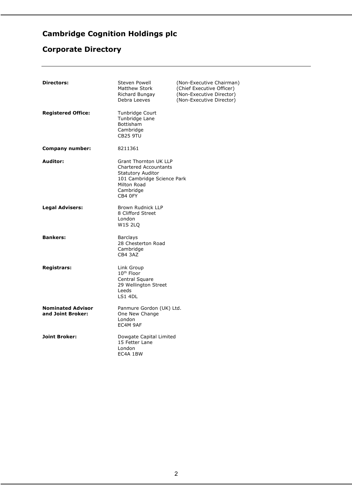# **Corporate Directory**

| Directors:                                    | Steven Powell<br>Matthew Stork<br>Richard Bungay<br>Debra Leeves                                                                                              | (Non-Executive Chairman)<br>(Chief Executive Officer)<br>(Non-Executive Director)<br>(Non-Executive Director) |
|-----------------------------------------------|---------------------------------------------------------------------------------------------------------------------------------------------------------------|---------------------------------------------------------------------------------------------------------------|
| <b>Registered Office:</b>                     | Tunbridge Court<br>Tunbridge Lane<br>Bottisham<br>Cambridge<br>CB25 9TU                                                                                       |                                                                                                               |
| Company number:                               | 8211361                                                                                                                                                       |                                                                                                               |
| Auditor:                                      | <b>Grant Thornton UK LLP</b><br><b>Chartered Accountants</b><br><b>Statutory Auditor</b><br>101 Cambridge Science Park<br>Milton Road<br>Cambridge<br>CB4 0FY |                                                                                                               |
| <b>Legal Advisers:</b>                        | Brown Rudnick LLP<br>8 Clifford Street<br>London<br>W <sub>1</sub> S <sub>2LQ</sub>                                                                           |                                                                                                               |
| <b>Bankers:</b>                               | <b>Barclays</b><br>28 Chesterton Road<br>Cambridge<br>CB4 3AZ                                                                                                 |                                                                                                               |
| <b>Registrars:</b>                            | Link Group<br>$10th$ Floor<br>Central Square<br>29 Wellington Street<br>Leeds<br>LS1 4DL                                                                      |                                                                                                               |
| <b>Nominated Advisor</b><br>and Joint Broker: | Panmure Gordon (UK) Ltd.<br>One New Change<br>London<br>EC4M 9AF                                                                                              |                                                                                                               |
| <b>Joint Broker:</b>                          | Dowgate Capital Limited<br>15 Fetter Lane<br>London<br>EC4A 1BW                                                                                               |                                                                                                               |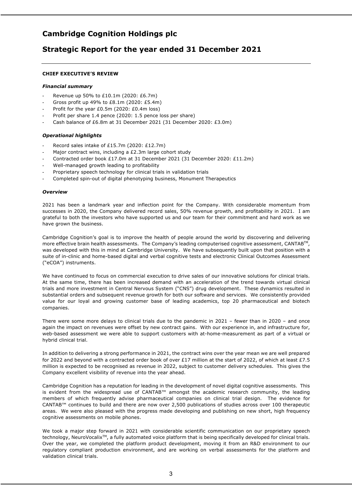### **Strategic Report for the year ended 31 December 2021**

#### **CHIEF EXECUTIVE'S REVIEW**

#### *Financial summary*

- Revenue up 50% to £10.1m (2020: £6.7m)
- Gross profit up 49% to £8.1m (2020: £5.4m)
- Profit for the year £0.5m (2020: £0.4m loss)
- Profit per share 1.4 pence (2020: 1.5 pence loss per share)
- Cash balance of £6.8m at 31 December 2021 (31 December 2020: £3.0m)

#### *Operational highlights*

- Record sales intake of £15.7m (2020: £12.7m)
- Major contract wins, including a £2.3m large cohort study
- Contracted order book £17.0m at 31 December 2021 (31 December 2020: £11.2m)
- Well-managed growth leading to profitability
- Proprietary speech technology for clinical trials in validation trials
- Completed spin-out of digital phenotyping business, Monument Therapeutics

#### *Overview*

2021 has been a landmark year and inflection point for the Company. With considerable momentum from successes in 2020, the Company delivered record sales, 50% revenue growth, and profitability in 2021. I am grateful to both the investors who have supported us and our team for their commitment and hard work as we have grown the business.

Cambridge Cognition's goal is to improve the health of people around the world by discovering and delivering more effective brain health assessments. The Company's leading computerised cognitive assessment, CANTAB™, was developed with this in mind at Cambridge University. We have subsequently built upon that position with a suite of in-clinic and home-based digital and verbal cognitive tests and electronic Clinical Outcomes Assessment ("eCOA") instruments.

We have continued to focus on commercial execution to drive sales of our innovative solutions for clinical trials. At the same time, there has been increased demand with an acceleration of the trend towards virtual clinical trials and more investment in Central Nervous System ("CNS") drug development. These dynamics resulted in substantial orders and subsequent revenue growth for both our software and services. We consistently provided value for our loyal and growing customer base of leading academics, top 20 pharmaceutical and biotech companies.

There were some more delays to clinical trials due to the pandemic in 2021 – fewer than in 2020 – and once again the impact on revenues were offset by new contract gains. With our experience in, and infrastructure for, web-based assessment we were able to support customers with at-home-measurement as part of a virtual or hybrid clinical trial.

In addition to delivering a strong performance in 2021, the contract wins over the year mean we are well prepared for 2022 and beyond with a contracted order book of over £17 million at the start of 2022, of which at least £7.5 million is expected to be recognised as revenue in 2022, subject to customer delivery schedules. This gives the Company excellent visibility of revenue into the year ahead.

Cambridge Cognition has a reputation for leading in the development of novel digital cognitive assessments. This is evident from the widespread use of CANTAB™ amongst the academic research community, the leading members of which frequently advise pharmaceutical companies on clinical trial design. The evidence for CANTAB™ continues to build and there are now over 2,500 publications of studies across over 100 therapeutic areas. We were also pleased with the progress made developing and publishing on new short, high frequency cognitive assessments on mobile phones.

We took a major step forward in 2021 with considerable scientific communication on our proprietary speech technology, NeuroVocalix™, a fully automated voice platform that is being specifically developed for clinical trials. Over the year, we completed the platform product development, moving it from an R&D environment to our regulatory compliant production environment, and are working on verbal assessments for the platform and validation clinical trials.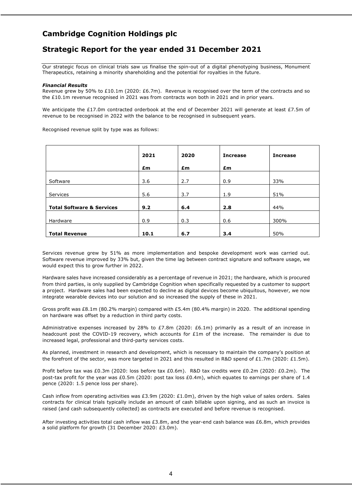### **Strategic Report for the year ended 31 December 2021**

Our strategic focus on clinical trials saw us finalise the spin-out of a digital phenotyping business, Monument Therapeutics, retaining a minority shareholding and the potential for royalties in the future.

#### *Financial Results*

Revenue grew by 50% to £10.1m (2020: £6.7m). Revenue is recognised over the term of the contracts and so the £10.1m revenue recognised in 2021 was from contracts won both in 2021 and in prior years.

We anticipate the £17.0m contracted orderbook at the end of December 2021 will generate at least £7.5m of revenue to be recognised in 2022 with the balance to be recognised in subsequent years.

Recognised revenue split by type was as follows:

|                                      | 2021 | 2020 | <b>Increase</b> | <b>Increase</b> |
|--------------------------------------|------|------|-----------------|-----------------|
|                                      | £m   | £m   | £m              |                 |
| Software                             | 3.6  | 2.7  | 0.9             | 33%             |
| Services                             | 5.6  | 3.7  | 1.9             | 51%             |
| <b>Total Software &amp; Services</b> | 9.2  | 6.4  | 2.8             | 44%             |
| Hardware                             | 0.9  | 0.3  | 0.6             | 300%            |
| <b>Total Revenue</b>                 | 10.1 | 6.7  | 3.4             | 50%             |

Services revenue grew by 51% as more implementation and bespoke development work was carried out. Software revenue improved by 33% but, given the time lag between contract signature and software usage, we would expect this to grow further in 2022.

Hardware sales have increased considerably as a percentage of revenue in 2021; the hardware, which is procured from third parties, is only supplied by Cambridge Cognition when specifically requested by a customer to support a project. Hardware sales had been expected to decline as digital devices become ubiquitous, however, we now integrate wearable devices into our solution and so increased the supply of these in 2021.

Gross profit was £8.1m (80.2% margin) compared with £5.4m (80.4% margin) in 2020. The additional spending on hardware was offset by a reduction in third party costs.

Administrative expenses increased by 28% to £7.8m (2020: £6.1m) primarily as a result of an increase in headcount post the COVID-19 recovery, which accounts for £1m of the increase. The remainder is due to increased legal, professional and third-party services costs.

As planned, investment in research and development, which is necessary to maintain the company's position at the forefront of the sector, was more targeted in 2021 and this resulted in R&D spend of £1.7m (2020: £1.5m).

Profit before tax was £0.3m (2020: loss before tax £0.6m). R&D tax credits were £0.2m (2020: £0.2m). The post-tax profit for the year was £0.5m (2020: post tax loss £0.4m), which equates to earnings per share of 1.4 pence (2020: 1.5 pence loss per share).

Cash inflow from operating activities was £3.9m (2020: £1.0m), driven by the high value of sales orders. Sales contracts for clinical trials typically include an amount of cash billable upon signing, and as such an invoice is raised (and cash subsequently collected) as contracts are executed and before revenue is recognised.

After investing activities total cash inflow was £3.8m, and the year-end cash balance was £6.8m, which provides a solid platform for growth (31 December 2020: £3.0m).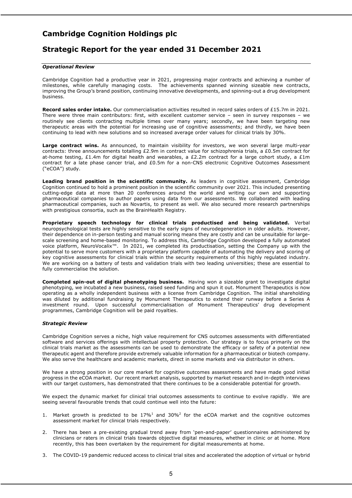### **Strategic Report for the year ended 31 December 2021**

#### *Operational Review*

Cambridge Cognition had a productive year in 2021, progressing major contracts and achieving a number of milestones, while carefully managing costs. The achievements spanned winning sizeable new contracts, improving the Group's brand position, continuing innovative developments, and spinning-out a drug development business.

**Record sales order intake.** Our commercialisation activities resulted in record sales orders of £15.7m in 2021. There were three main contributors: first, with excellent customer service – seen in survey responses – we routinely see clients contracting multiple times over many years; secondly, we have been targeting new therapeutic areas with the potential for increasing use of cognitive assessments; and thirdly, we have been continuing to lead with new solutions and so increased average order values for clinical trials by 30%.

Large contract wins. As announced, to maintain visibility for investors, we won several large multi-year contracts: three announcements totalling £2.9m in contract value for schizophrenia trials, a £0.5m contract for at-home testing, £1.4m for digital health and wearables, a £2.2m contract for a large cohort study, a £1m contract for a late phase cancer trial, and £0.5m for a non-CNS electronic Cognitive Outcomes Assessment ("eCOA") study.

**Leading brand position in the scientific community.** As leaders in cognitive assessment, Cambridge Cognition continued to hold a prominent position in the scientific community over 2021. This included presenting cutting-edge data at more than 20 conferences around the world and writing our own and supporting pharmaceutical companies to author papers using data from our assessments. We collaborated with leading pharmaceutical companies, such as Novartis, to present as well. We also secured more research partnerships with prestigious consortia, such as the BrainHealth Registry.

**Proprietary speech technology for clinical trials productised and being validated.** Verbal neuropsychological tests are highly sensitive to the early signs of neurodegeneration in older adults. However, their dependence on in-person testing and manual scoring means they are costly and can be unsuitable for largescale screening and home-based monitoring. To address this, Cambridge Cognition developed a fully automated voice platform, NeuroVocalix™. In 2021, we completed its productisation, setting the Company up with the potential to serve more customers with a proprietary platform capable of automating the delivery and scoring of key cognitive assessments for clinical trials within the security requirements of this highly regulated industry. We are working on a battery of tests and validation trials with two leading universities; these are essential to fully commercialise the solution.

**Completed spin-out of digital phenotyping business.** Having won a sizeable grant to investigate digital phenotyping, we incubated a new business, raised seed funding and spun it out. Monument Therapeutics is now operating as a wholly independent business with a license from Cambridge Cognition. The initial shareholding was diluted by additional fundraising by Monument Therapeutics to extend their runway before a Series A investment round. Upon successful commercialisation of Monument Therapeutics' drug development programmes, Cambridge Cognition will be paid royalties.

#### *Strategic Review*

Cambridge Cognition serves a niche, high value requirement for CNS outcomes assessments with differentiated software and services offerings with intellectual property protection. Our strategy is to focus primarily on the clinical trials market as the assessments can be used to demonstrate the efficacy or safety of a potential new therapeutic agent and therefore provide extremely valuable information for a pharmaceutical or biotech company. We also serve the healthcare and academic markets, direct in some markets and via distributor in others.

We have a strong position in our core market for cognitive outcomes assessments and have made good initial progress in the eCOA market. Our recent market analysis, supported by market research and in-depth interviews with our target customers, has demonstrated that there continues to be a considerable potential for growth.

We expect the dynamic market for clinical trial outcomes assessments to continue to evolve rapidly. We are seeing several favourable trends that could continue well into the future:

- 1. Market growth is predicted to be  $17\%$ <sup>1</sup> and  $30\%$ <sup>2</sup> for the eCOA market and the cognitive outcomes assessment market for clinical trials respectively.
- 2. There has been a pre-existing gradual trend away from 'pen-and-paper' questionnaires administered by clinicians or raters in clinical trials towards objective digital measures, whether in clinic or at home. More recently, this has been overtaken by the requirement for digital measurements at home.
- 3. The COVID-19 pandemic reduced access to clinical trial sites and accelerated the adoption of virtual or hybrid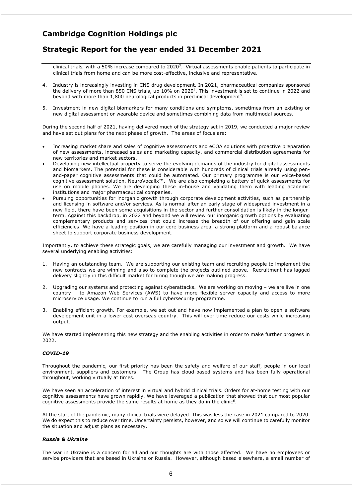### **Strategic Report for the year ended 31 December 2021**

clinical trials, with a 50% increase compared to 20203. Virtual assessments enable patients to participate in clinical trials from home and can be more cost-effective, inclusive and representative.

- 4. Industry is increasingly investing in CNS drug development. In 2021, pharmaceutical companies sponsored the delivery of more than 850 CNS trials, up 10% on 2020<sup>4</sup>. This investment is set to continue in 2022 and beyond with more than 1,800 neurological products in preclinical development<sup>5</sup>.
- 5. Investment in new digital biomarkers for many conditions and symptoms, sometimes from an existing or new digital assessment or wearable device and sometimes combining data from multimodal sources.

During the second half of 2021, having delivered much of the strategy set in 2019, we conducted a major review and have set out plans for the next phase of growth. The areas of focus are:

- Increasing market share and sales of cognitive assessments and eCOA solutions with proactive preparation of new assessments, increased sales and marketing capacity, and commercial distribution agreements for new territories and market sectors.
- Developing new intellectual property to serve the evolving demands of the industry for digital assessments and biomarkers. The potential for these is considerable with hundreds of clinical trials already using penand-paper cognitive assessments that could be automated. Our primary programme is our voice-based cognitive assessment solution, NeuroVocalix™. We are also completing a battery of quick assessments for use on mobile phones. We are developing these in-house and validating them with leading academic institutions and major pharmaceutical companies.
- Pursuing opportunities for inorganic growth through corporate development activities, such as partnership and licensing-in software and/or services. As is normal after an early stage of widespread investment in a new field, there have been some acquisitions in the sector and further consolidation is likely in the longerterm. Against this backdrop, in 2022 and beyond we will review our inorganic growth options by evaluating complementary products and services that could increase the breadth of our offering and gain scale efficiencies. We have a leading position in our core business area, a strong platform and a robust balance sheet to support corporate business development.

Importantly, to achieve these strategic goals, we are carefully managing our investment and growth. We have several underlying enabling activities:

- 1. Having an outstanding team. We are supporting our existing team and recruiting people to implement the new contracts we are winning and also to complete the projects outlined above. Recruitment has lagged delivery slightly in this difficult market for hiring though we are making progress.
- 2. Upgrading our systems and protecting against cyberattacks. We are working on moving we are live in one country – to Amazon Web Services (AWS) to have more flexible server capacity and access to more microservice usage. We continue to run a full cybersecurity programme.
- 3. Enabling efficient growth. For example, we set out and have now implemented a plan to open a software development unit in a lower cost overseas country. This will over time reduce our costs while increasing output.

We have started implementing this new strategy and the enabling activities in order to make further progress in 2022.

#### *COVID-19*

Throughout the pandemic, our first priority has been the safety and welfare of our staff, people in our local environment, suppliers and customers. The Group has cloud-based systems and has been fully operational throughout, working virtually at times.

We have seen an acceleration of interest in virtual and hybrid clinical trials. Orders for at-home testing with our cognitive assessments have grown rapidly. We have leveraged a publication that showed that our most popular cognitive assessments provide the same results at home as they do in the clinic<sup>6</sup>.

At the start of the pandemic, many clinical trials were delayed. This was less the case in 2021 compared to 2020. We do expect this to reduce over time. Uncertainty persists, however, and so we will continue to carefully monitor the situation and adjust plans as necessary.

#### *Russia & Ukraine*

The war in Ukraine is a concern for all and our thoughts are with those affected. We have no employees or service providers that are based in Ukraine or Russia. However, although based elsewhere, a small number of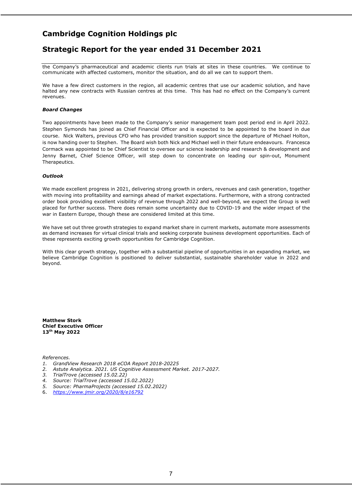### **Strategic Report for the year ended 31 December 2021**

the Company's pharmaceutical and academic clients run trials at sites in these countries. We continue to communicate with affected customers, monitor the situation, and do all we can to support them.

We have a few direct customers in the region, all academic centres that use our academic solution, and have halted any new contracts with Russian centres at this time. This has had no effect on the Company's current revenues.

#### *Board Changes*

Two appointments have been made to the Company's senior management team post period end in April 2022. Stephen Symonds has joined as Chief Financial Officer and is expected to be appointed to the board in due course. Nick Walters, previous CFO who has provided transition support since the departure of Michael Holton, is now handing over to Stephen. The Board wish both Nick and Michael well in their future endeavours. Francesca Cormack was appointed to be Chief Scientist to oversee our science leadership and research & development and Jenny Barnet, Chief Science Officer, will step down to concentrate on leading our spin-out, Monument Therapeutics.

#### *Outlook*

We made excellent progress in 2021, delivering strong growth in orders, revenues and cash generation, together with moving into profitability and earnings ahead of market expectations. Furthermore, with a strong contracted order book providing excellent visibility of revenue through 2022 and well-beyond, we expect the Group is well placed for further success. There does remain some uncertainty due to COVID-19 and the wider impact of the war in Eastern Europe, though these are considered limited at this time.

We have set out three growth strategies to expand market share in current markets, automate more assessments as demand increases for virtual clinical trials and seeking corporate business development opportunities. Each of these represents exciting growth opportunities for Cambridge Cognition.

With this clear growth strategy, together with a substantial pipeline of opportunities in an expanding market, we believe Cambridge Cognition is positioned to deliver substantial, sustainable shareholder value in 2022 and beyond.

**Matthew Stork Chief Executive Officer 13th May 2022**

*References.*

- *1. GrandView Research 2018 eCOA Report 2018-20225*
- *2. Astute Analytica. 2021. US Cognitive Assessment Market. 2017-2027.*
- *3. TrialTrove (accessed 15.02.22)*
- *4. Source: TrialTrove (accessed 15.02.2022)*
- *5. Source: PharmaProjects (accessed 15.02.2022)*
- 6. *https://www.jmir.org/2020/8/e16792*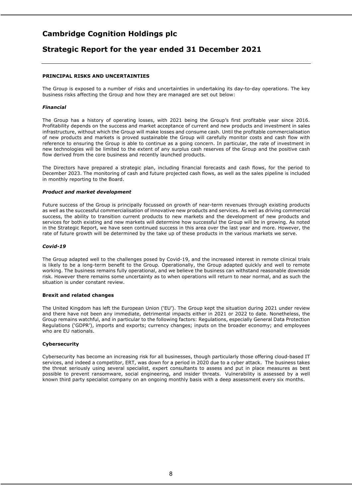### **Strategic Report for the year ended 31 December 2021**

#### **PRINCIPAL RISKS AND UNCERTAINTIES**

The Group is exposed to a number of risks and uncertainties in undertaking its day-to-day operations. The key business risks affecting the Group and how they are managed are set out below:

#### *Financial*

The Group has a history of operating losses, with 2021 being the Group's first profitable year since 2016. Profitability depends on the success and market acceptance of current and new products and investment in sales infrastructure, without which the Group will make losses and consume cash. Until the profitable commercialisation of new products and markets is proved sustainable the Group will carefully monitor costs and cash flow with reference to ensuring the Group is able to continue as a going concern. In particular, the rate of investment in new technologies will be limited to the extent of any surplus cash reserves of the Group and the positive cash flow derived from the core business and recently launched products.

The Directors have prepared a strategic plan, including financial forecasts and cash flows, for the period to December 2023. The monitoring of cash and future projected cash flows, as well as the sales pipeline is included in monthly reporting to the Board.

#### *Product and market development*

Future success of the Group is principally focussed on growth of near-term revenues through existing products as well as the successful commercialisation of innovative new products and services. As well as driving commercial success, the ability to transition current products to new markets and the development of new products and services for both existing and new markets will determine how successful the Group will be in growing. As noted in the Strategic Report, we have seen continued success in this area over the last year and more. However, the rate of future growth will be determined by the take up of these products in the various markets we serve.

#### *Covid-19*

The Group adapted well to the challenges posed by Covid-19, and the increased interest in remote clinical trials is likely to be a long-term benefit to the Group. Operationally, the Group adapted quickly and well to remote working. The business remains fully operational, and we believe the business can withstand reasonable downside risk. However there remains some uncertainty as to when operations will return to near normal, and as such the situation is under constant review.

#### **Brexit and related changes**

The United Kingdom has left the European Union ('EU'). The Group kept the situation during 2021 under review and there have not been any immediate, detrimental impacts either in 2021 or 2022 to date. Nonetheless, the Group remains watchful, and in particular to the following factors: Regulations, especially General Data Protection Regulations ('GDPR'), imports and exports; currency changes; inputs on the broader economy; and employees who are FU nationals.

#### **Cybersecurity**

Cybersecurity has become an increasing risk for all businesses, though particularly those offering cloud-based IT services, and indeed a competitor, ERT, was down for a period in 2020 due to a cyber attack. The business takes the threat seriously using several specialist, expert consultants to assess and put in place measures as best possible to prevent ransomware, social engineering, and insider threats. Vulnerability is assessed by a well known third party specialist company on an ongoing monthly basis with a deep assessment every six months.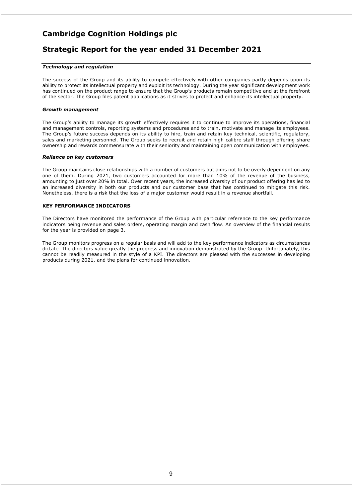### **Strategic Report for the year ended 31 December 2021**

#### *Technology and regulation*

The success of the Group and its ability to compete effectively with other companies partly depends upon its ability to protect its intellectual property and exploit its technology. During the year significant development work has continued on the product range to ensure that the Group's products remain competitive and at the forefront of the sector. The Group files patent applications as it strives to protect and enhance its intellectual property.

#### *Growth management*

The Group's ability to manage its growth effectively requires it to continue to improve its operations, financial and management controls, reporting systems and procedures and to train, motivate and manage its employees. The Group's future success depends on its ability to hire, train and retain key technical, scientific, regulatory, sales and marketing personnel. The Group seeks to recruit and retain high calibre staff through offering share ownership and rewards commensurate with their seniority and maintaining open communication with employees.

#### *Reliance on key customers*

The Group maintains close relationships with a number of customers but aims not to be overly dependent on any one of them. During 2021, two customers accounted for more than 10% of the revenue of the business, amounting to just over 20% in total. Over recent years, the increased diversity of our product offering has led to an increased diversity in both our products and our customer base that has continued to mitigate this risk. Nonetheless, there is a risk that the loss of a major customer would result in a revenue shortfall.

#### **KEY PERFORMANCE INDICATORS**

The Directors have monitored the performance of the Group with particular reference to the key performance indicators being revenue and sales orders, operating margin and cash flow. An overview of the financial results for the year is provided on page 3.

The Group monitors progress on a regular basis and will add to the key performance indicators as circumstances dictate. The directors value greatly the progress and innovation demonstrated by the Group. Unfortunately, this cannot be readily measured in the style of a KPI. The directors are pleased with the successes in developing products during 2021, and the plans for continued innovation.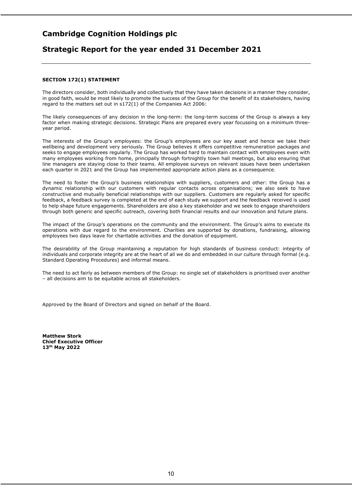### **Strategic Report for the year ended 31 December 2021**

#### **SECTION 172(1) STATEMENT**

The directors consider, both individually and collectively that they have taken decisions in a manner they consider, in good faith, would be most likely to promote the success of the Group for the benefit of its stakeholders, having regard to the matters set out in s172(1) of the Companies Act 2006:

The likely consequences of any decision in the long-term: the long-term success of the Group is always a key factor when making strategic decisions. Strategic Plans are prepared every year focussing on a minimum threeyear period.

The interests of the Group's employees: the Group's employees are our key asset and hence we take their wellbeing and development very seriously. The Group believes it offers competitive remuneration packages and seeks to engage employees regularly. The Group has worked hard to maintain contact with employees even with many employees working from home, principally through fortnightly town hall meetings, but also ensuring that line managers are staying close to their teams. All employee surveys on relevant issues have been undertaken each quarter in 2021 and the Group has implemented appropriate action plans as a consequence.

The need to foster the Group's business relationships with suppliers, customers and other: the Group has a dynamic relationship with our customers with regular contacts across organisations; we also seek to have constructive and mutually beneficial relationships with our suppliers. Customers are regularly asked for specific feedback, a feedback survey is completed at the end of each study we support and the feedback received is used to help shape future engagements. Shareholders are also a key stakeholder and we seek to engage shareholders through both generic and specific outreach, covering both financial results and our innovation and future plans.

The impact of the Group's operations on the community and the environment. The Group's aims to execute its operations with due regard to the environment. Charities are supported by donations, fundraising, allowing employees two days leave for charitable activities and the donation of equipment.

The desirability of the Group maintaining a reputation for high standards of business conduct: integrity of individuals and corporate integrity are at the heart of all we do and embedded in our culture through formal (e.g. Standard Operating Procedures) and informal means.

The need to act fairly as between members of the Group: no single set of stakeholders is prioritised over another – all decisions aim to be equitable across all stakeholders.

Approved by the Board of Directors and signed on behalf of the Board.

**Matthew Stork Chief Executive Officer 13th May 2022**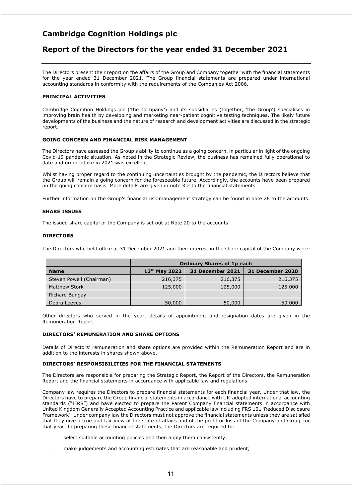### **Report of the Directors for the year ended 31 December 2021**

The Directors present their report on the affairs of the Group and Company together with the financial statements for the year ended 31 December 2021. The Group financial statements are prepared under international accounting standards in conformity with the requirements of the Companies Act 2006.

#### **PRINCIPAL ACTIVITIES**

Cambridge Cognition Holdings plc ('the Company') and its subsidiaries (together, 'the Group') specialises in improving brain health by developing and marketing near-patient cognitive testing techniques. The likely future developments of the business and the nature of research and development activities are discussed in the strategic report.

#### **GOING CONCERN AND FINANCIAL RISK MANAGEMENT**

The Directors have assessed the Group's ability to continue as a going concern, in particular in light of the ongoing Covid-19 pandemic situation. As noted in the Strategic Review, the business has remained fully operational to date and order intake in 2021 was excellent.

Whilst having proper regard to the continuing uncertainties brought by the pandemic, the Directors believe that the Group will remain a going concern for the foreseeable future. Accordingly, the accounts have been prepared on the going concern basis. More details are given in note 3.2 to the financial statements.

Further information on the Group's financial risk management strategy can be found in note 26 to the accounts.

#### **SHARE ISSUES**

The issued share capital of the Company is set out at Note 20 to the accounts.

#### **DIRECTORS**

The Directors who held office at 31 December 2021 and their interest in the share capital of the Company were:

|                          | <b>Ordinary Shares of 1p each</b> |                  |                  |
|--------------------------|-----------------------------------|------------------|------------------|
| <b>Name</b>              | 13 <sup>th</sup> May 2022         | 31 December 2021 | 31 December 2020 |
| Steven Powell (Chairman) | 216,375                           | 216,375          | 216,375          |
| <b>Matthew Stork</b>     | 125,000                           | 125,000          | 125,000          |
| <b>Richard Bungay</b>    | -                                 | -                |                  |
| Debra Leeves             | 50,000                            | 50,000           | 50,000           |

Other directors who served in the year, details of appointment and resignation dates are given in the Remuneration Report.

#### **DIRECTORS' REMUNERATION AND SHARE OPTIONS**

Details of Directors' remuneration and share options are provided within the Remuneration Report and are in addition to the interests in shares shown above.

#### **DIRECTORS' RESPONSIBILITIES FOR THE FINANCIAL STATEMENTS**

The Directors are responsible for preparing the Strategic Report, the Report of the Directors, the Remuneration Report and the financial statements in accordance with applicable law and regulations.

Company law requires the Directors to prepare financial statements for each financial year. Under that law, the Directors have to prepare the Group financial statements in accordance with UK-adopted international accounting standards ("IFRS") and have elected to prepare the Parent Company financial statements in accordance with United Kingdom Generally Accepted Accounting Practice and applicable law including FRS 101 'Reduced Disclosure Framework'. Under company law the Directors must not approve the financial statements unless they are satisfied that they give a true and fair view of the state of affairs and of the profit or loss of the Company and Group for that year. In preparing these financial statements, the Directors are required to:

- select suitable accounting policies and then apply them consistently;
- make judgements and accounting estimates that are reasonable and prudent;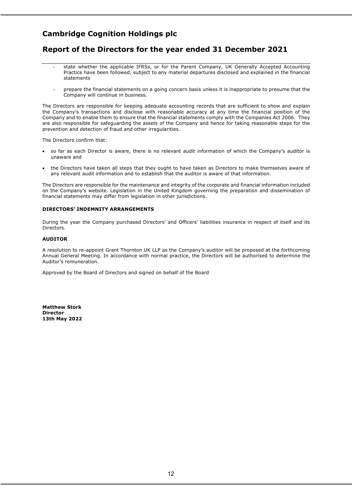### **Report of the Directors for the year ended 31 December 2021**

- state whether the applicable IFRSs, or for the Parent Company, UK Generally Accepted Accounting Practice have been followed, subject to any material departures disclosed and explained in the financial statements
- prepare the financial statements on a going concern basis unless it is inappropriate to presume that the Company will continue in business.

The Directors are responsible for keeping adequate accounting records that are sufficient to show and explain the Company's transactions and disclose with reasonable accuracy at any time the financial position of the Company and to enable them to ensure that the financial statements comply with the Companies Act 2006. They are also responsible for safeguarding the assets of the Company and hence for taking reasonable steps for the prevention and detection of fraud and other irregularities.

The Directors confirm that:

- so far as each Director is aware, there is no relevant audit information of which the Company's auditor is unaware and
- the Directors have taken all steps that they ought to have taken as Directors to make themselves aware of any relevant audit information and to establish that the auditor is aware of that information.

The Directors are responsible for the maintenance and integrity of the corporate and financial information included on the Company's website. Legislation in the United Kingdom governing the preparation and dissemination of financial statements may differ from legislation in other jurisdictions.

#### **DIRECTORS' INDEMNITY ARRANGEMENTS**

During the year the Company purchased Directors' and Officers' liabilities insurance in respect of itself and its **Directors** 

#### **AUDITOR**

A resolution to re-appoint Grant Thornton UK LLP as the Company's auditor will be proposed at the forthcoming Annual General Meeting. In accordance with normal practice, the Directors will be authorised to determine the Auditor's remuneration.

Approved by the Board of Directors and signed on behalf of the Board

**Matthew Stork Director 13th May 2022**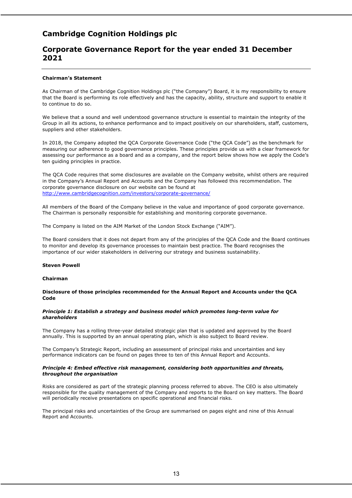### **Corporate Governance Report for the year ended 31 December 2021**

#### **Chairman's Statement**

As Chairman of the Cambridge Cognition Holdings plc ("the Company") Board, it is my responsibility to ensure that the Board is performing its role effectively and has the capacity, ability, structure and support to enable it to continue to do so.

We believe that a sound and well understood governance structure is essential to maintain the integrity of the Group in all its actions, to enhance performance and to impact positively on our shareholders, staff, customers, suppliers and other stakeholders.

In 2018, the Company adopted the QCA Corporate Governance Code ("the QCA Code") as the benchmark for measuring our adherence to good governance principles. These principles provide us with a clear framework for assessing our performance as a board and as a company, and the report below shows how we apply the Code's ten guiding principles in practice.

The QCA Code requires that some disclosures are available on the Company website, whilst others are required in the Company's Annual Report and Accounts and the Company has followed this recommendation. The corporate governance disclosure on our website can be found at http://www.cambridgecognition.com/investors/corporate-governance/

All members of the Board of the Company believe in the value and importance of good corporate governance. The Chairman is personally responsible for establishing and monitoring corporate governance.

The Company is listed on the AIM Market of the London Stock Exchange ("AIM").

The Board considers that it does not depart from any of the principles of the QCA Code and the Board continues to monitor and develop its governance processes to maintain best practice. The Board recognises the importance of our wider stakeholders in delivering our strategy and business sustainability.

#### **Steven Powell**

#### **Chairman**

#### **Disclosure of those principles recommended for the Annual Report and Accounts under the QCA Code**

#### *Principle 1: Establish a strategy and business model which promotes long-term value for shareholders*

The Company has a rolling three-year detailed strategic plan that is updated and approved by the Board annually. This is supported by an annual operating plan, which is also subject to Board review.

The Company's Strategic Report, including an assessment of principal risks and uncertainties and key performance indicators can be found on pages three to ten of this Annual Report and Accounts.

#### *Principle 4: Embed effective risk management, considering both opportunities and threats, throughout the organisation*

Risks are considered as part of the strategic planning process referred to above. The CEO is also ultimately responsible for the quality management of the Company and reports to the Board on key matters. The Board will periodically receive presentations on specific operational and financial risks.

The principal risks and uncertainties of the Group are summarised on pages eight and nine of this Annual Report and Accounts.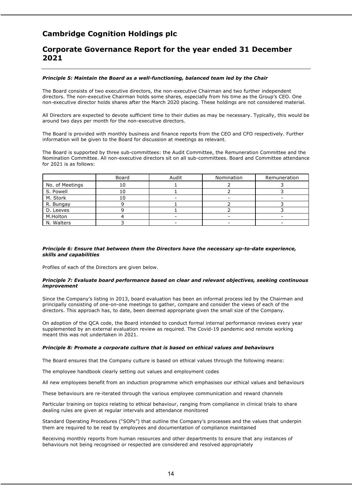### **Corporate Governance Report for the year ended 31 December 2021**

#### *Principle 5: Maintain the Board as a well-functioning, balanced team led by the Chair*

The Board consists of two executive directors, the non-executive Chairman and two further independent directors. The non-executive Chairman holds some shares, especially from his time as the Group's CEO. One non-executive director holds shares after the March 2020 placing. These holdings are not considered material.

All Directors are expected to devote sufficient time to their duties as may be necessary. Typically, this would be around two days per month for the non-executive directors.

The Board is provided with monthly business and finance reports from the CEO and CFO respectively. Further information will be given to the Board for discussion at meetings as relevant.

The Board is supported by three sub-committees: the Audit Committee, the Remuneration Committee and the Nomination Committee. All non-executive directors sit on all sub-committees. Board and Committee attendance for 2021 is as follows:

|                 | Board | Audit | Nomination | Remuneration |
|-----------------|-------|-------|------------|--------------|
| No. of Meetings | 10    |       |            |              |
| S. Powell       | 10    |       |            |              |
| M. Stork        | 10    |       |            |              |
| R. Bungay       |       |       |            |              |
| D. Leeves       |       |       |            |              |
| M.Holton        |       |       |            |              |
| N. Walters      |       |       |            |              |

#### *Principle 6: Ensure that between them the Directors have the necessary up-to-date experience, skills and capabilities*

Profiles of each of the Directors are given below.

#### *Principle 7: Evaluate board performance based on clear and relevant objectives, seeking continuous improvement*

Since the Company's listing in 2013, board evaluation has been an informal process led by the Chairman and principally consisting of one-on-one meetings to gather, compare and consider the views of each of the directors. This approach has, to date, been deemed appropriate given the small size of the Company.

On adoption of the QCA code, the Board intended to conduct formal internal performance reviews every year supplemented by an external evaluation review as required. The Covid-19 pandemic and remote working meant this was not undertaken in 2021.

#### *Principle 8: Promote a corporate culture that is based on ethical values and behaviours*

The Board ensures that the Company culture is based on ethical values through the following means:

The employee handbook clearly setting out values and employment codes

All new employees benefit from an induction programme which emphasises our ethical values and behaviours

These behaviours are re-iterated through the various employee communication and reward channels

Particular training on topics relating to ethical behaviour, ranging from compliance in clinical trials to share dealing rules are given at regular intervals and attendance monitored

Standard Operating Procedures ("SOPs") that outline the Company's processes and the values that underpin them are required to be read by employees and documentation of compliance maintained

Receiving monthly reports from human resources and other departments to ensure that any instances of behaviours not being recognised or respected are considered and resolved appropriately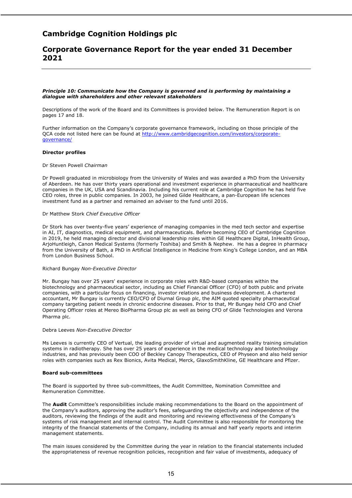### **Corporate Governance Report for the year ended 31 December 2021**

#### *Principle 10: Communicate how the Company is governed and is performing by maintaining a dialogue with shareholders and other relevant stakeholders*

Descriptions of the work of the Board and its Committees is provided below. The Remuneration Report is on pages 17 and 18.

Further information on the Company's corporate governance framework, including on those principle of the QCA code not listed here can be found at http://www.cambridgecognition.com/investors/corporategovernance/

#### **Director profiles**

#### Dr Steven Powell *Chairman*

Dr Powell graduated in microbiology from the University of Wales and was awarded a PhD from the University of Aberdeen. He has over thirty years operational and investment experience in pharmaceutical and healthcare companies in the UK, USA and Scandinavia. Including his current role at Cambridge Cognition he has held five CEO roles, three in public companies. In 2003, he joined Gilde Healthcare, a pan-European life sciences investment fund as a partner and remained an adviser to the fund until 2016.

#### Dr Matthew Stork *Chief Executive Officer*

Dr Stork has over twenty-five years' experience of managing companies in the med tech sector and expertise in AI, IT, diagnostics, medical equipment, and pharmaceuticals. Before becoming CEO of Cambridge Cognition in 2019, he held managing director and divisional leadership roles within GE Healthcare Digital, InHealth Group, ArjoHuntleigh, Canon Medical Systems (formerly Toshiba) and Smith & Nephew. He has a degree in pharmacy from the University of Bath, a PhD in Artificial Intelligence in Medicine from King's College London, and an MBA from London Business School.

#### Richard Bungay *Non-Executive Director*

Mr. Bungay has over 25 years' experience in corporate roles with R&D-based companies within the biotechnology and pharmaceutical sector, including as Chief Financial Officer (CFO) of both public and private companies, with a particular focus on financing, investor relations and business development. A chartered accountant, Mr Bungay is currently CEO/CFO of Diurnal Group plc, the AIM quoted specialty pharmaceutical company targeting patient needs in chronic endocrine diseases. Prior to that, Mr Bungay held CFO and Chief Operating Officer roles at Mereo BioPharma Group plc as well as being CFO of Glide Technologies and Verona Pharma plc.

#### Debra Leeves *Non-Executive Director*

Ms Leeves is currently CEO of Vertual, the leading provider of virtual and augmented reality training simulation systems in radiotherapy. She has over 25 years of experience in the medical technology and biotechnology industries, and has previously been COO of Beckley Canopy Therapeutics, CEO of Physeon and also held senior roles with companies such as Rex Bionics, Avita Medical, Merck, GlaxoSmithKline, GE Healthcare and Pfizer.

#### **Board sub-committees**

The Board is supported by three sub-committees, the Audit Committee, Nomination Committee and Remuneration Committee.

The **Audit** Committee's responsibilities include making recommendations to the Board on the appointment of the Company's auditors, approving the auditor's fees, safeguarding the objectivity and independence of the auditors, reviewing the findings of the audit and monitoring and reviewing effectiveness of the Company's systems of risk management and internal control. The Audit Committee is also responsible for monitoring the integrity of the financial statements of the Company, including its annual and half yearly reports and interim management statements.

The main issues considered by the Committee during the year in relation to the financial statements included the appropriateness of revenue recognition policies, recognition and fair value of investments, adequacy of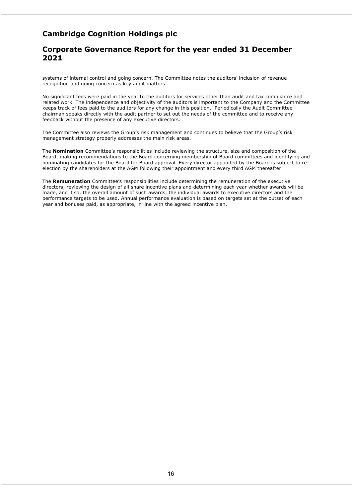### **Corporate Governance Report for the year ended 31 December 2021**

systems of internal control and going concern. The Committee notes the auditors' inclusion of revenue recognition and going concern as key audit matters.

No significant fees were paid in the year to the auditors for services other than audit and tax compliance and related work. The independence and objectivity of the auditors is important to the Company and the Committee keeps track of fees paid to the auditors for any change in this position. Periodically the Audit Committee chairman speaks directly with the audit partner to set out the needs of the committee and to receive any feedback without the presence of any executive directors.

The Committee also reviews the Group's risk management and continues to believe that the Group's risk management strategy properly addresses the main risk areas.

The **Nomination** Committee's responsibilities include reviewing the structure, size and composition of the Board, making recommendations to the Board concerning membership of Board committees and identifying and nominating candidates for the Board for Board approval. Every director appointed by the Board is subject to reelection by the shareholders at the AGM following their appointment and every third AGM thereafter.

The **Remuneration** Committee's responsibilities include determining the remuneration of the executive directors, reviewing the design of all share incentive plans and determining each year whether awards will be made, and if so, the overall amount of such awards, the individual awards to executive directors and the performance targets to be used. Annual performance evaluation is based on targets set at the outset of each year and bonuses paid, as appropriate, in line with the agreed incentive plan.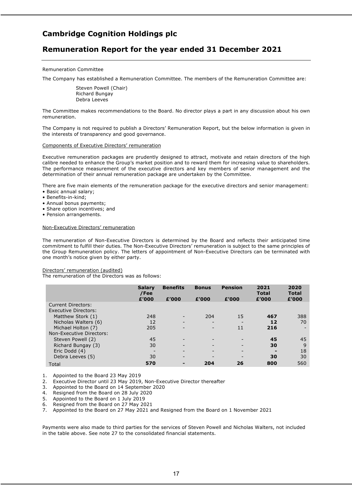### **Remuneration Report for the year ended 31 December 2021**

#### Remuneration Committee

The Company has established a Remuneration Committee. The members of the Remuneration Committee are:

Steven Powell (Chair) Richard Bungay Debra Leeves

The Committee makes recommendations to the Board. No director plays a part in any discussion about his own remuneration.

The Company is not required to publish a Directors' Remuneration Report, but the below information is given in the interests of transparency and good governance.

#### Components of Executive Directors' remuneration

Executive remuneration packages are prudently designed to attract, motivate and retain directors of the high calibre needed to enhance the Group's market position and to reward them for increasing value to shareholders. The performance measurement of the executive directors and key members of senior management and the determination of their annual remuneration package are undertaken by the Committee.

There are five main elements of the remuneration package for the executive directors and senior management: • Basic annual salary;

- Benefits-in-kind;
- Annual bonus payments;
- Share option incentives; and
- Pension arrangements.

#### Non-Executive Directors' remuneration

The remuneration of Non-Executive Directors is determined by the Board and reflects their anticipated time commitment to fulfill their duties. The Non-Executive Directors' remuneration is subject to the same principles of the Group Remuneration policy. The letters of appointment of Non-Executive Directors can be terminated with one month's notice given by either party.

#### Directors' remuneration (audited)

The remuneration of the Directors was as follows:

|                             | <b>Salary</b><br>/Fee | <b>Benefits</b> | <b>Bonus</b>             | <b>Pension</b> | 2021<br><b>Total</b> | 2020<br><b>Total</b> |
|-----------------------------|-----------------------|-----------------|--------------------------|----------------|----------------------|----------------------|
|                             | £'000                 | £'000           | £'000                    | £'000          | £'000                | £'000                |
| <b>Current Directors:</b>   |                       |                 |                          |                |                      |                      |
| <b>Executive Directors:</b> |                       |                 |                          |                |                      |                      |
| Matthew Stork (1)           | 248                   |                 | 204                      | 15             | 467                  | 388                  |
| Nicholas Walters (6)        | 12                    | -               | $\overline{\phantom{0}}$ |                | 12                   | 70                   |
| Michael Holton (7)          | 205                   |                 | $\overline{\phantom{0}}$ | 11             | 216                  |                      |
| Non-Executive Directors:    |                       |                 |                          |                |                      |                      |
| Steven Powell (2)           | 45                    |                 | $\overline{\phantom{0}}$ |                | 45                   | 45                   |
| Richard Bungay (3)          | 30                    |                 | $\overline{\phantom{0}}$ |                | 30                   | 9                    |
| Eric Dodd (4)               |                       |                 | $\overline{\phantom{a}}$ |                |                      | 18                   |
| Debra Leeves (5)            | 30                    |                 |                          |                | 30                   | 30                   |
| Total                       | 570                   |                 | 204                      | 26             | 800                  | 560                  |

1. Appointed to the Board 23 May 2019

2. Executive Director until 23 May 2019, Non-Executive Director thereafter

3. Appointed to the Board on 14 September 2020

- 4. Resigned from the Board on 28 July 2020<br>5. Appointed to the Board on 1 July 2019<br>6. Resigned from the Board on 27 May 2021
- 5. Appointed to the Board on 1 July 2019
- 6. Resigned from the Board on 27 May 2021
- 7. Appointed to the Board on 27 May 2021 and Resigned from the Board on 1 November 2021

Payments were also made to third parties for the services of Steven Powell and Nicholas Walters, not included in the table above. See note 27 to the consolidated financial statements.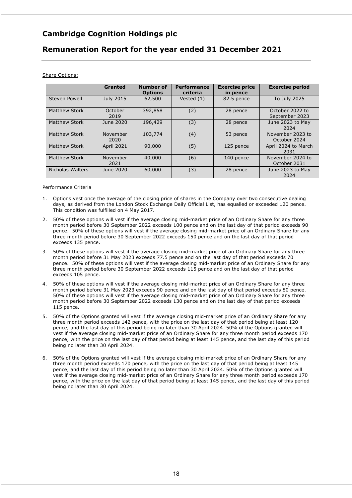### **Remuneration Report for the year ended 31 December 2021**

#### Share Options:

|                  | Granted           | Number of<br><b>Options</b> | <b>Performance</b><br>criteria | <b>Exercise price</b><br>in pence | <b>Exercise period</b>            |
|------------------|-------------------|-----------------------------|--------------------------------|-----------------------------------|-----------------------------------|
| Steven Powell    | July 2015         | 62,500                      | Vested $(1)$                   | 82.5 pence                        | To July 2025                      |
| Matthew Stork    | October<br>2019   | 392,858                     | (2)                            | 28 pence                          | October 2022 to<br>September 2023 |
| Matthew Stork    | June 2020         | 196,429                     | (3)                            | 28 pence                          | June 2023 to May<br>2024          |
| Matthew Stork    | November<br>2020  | 103,774                     | (4)                            | 53 pence                          | November 2023 to<br>October 2024  |
| Matthew Stork    | <b>April 2021</b> | 90,000                      | (5)                            | 125 pence                         | April 2024 to March<br>2031       |
| Matthew Stork    | November<br>2021  | 40,000                      | (6)                            | 140 pence                         | November 2024 to<br>October 2031  |
| Nicholas Walters | June 2020         | 60,000                      | (3)                            | 28 pence                          | June 2023 to May<br>2024          |

Performance Criteria

- 1. Options vest once the average of the closing price of shares in the Company over two consecutive dealing days, as derived from the London Stock Exchange Daily Official List, has equalled or exceeded 120 pence. This condition was fulfilled on 4 May 2017.
- 2. 50% of these options will vest if the average closing mid-market price of an Ordinary Share for any three month period before 30 September 2022 exceeds 100 pence and on the last day of that period exceeds 90 pence. 50% of these options will vest if the average closing mid-market price of an Ordinary Share for any three month period before 30 September 2022 exceeds 150 pence and on the last day of that period exceeds 135 pence.
- 3. 50% of these options will vest if the average closing mid-market price of an Ordinary Share for any three month period before 31 May 2023 exceeds 77.5 pence and on the last day of that period exceeds 70 pence. 50% of these options will vest if the average closing mid-market price of an Ordinary Share for any three month period before 30 September 2022 exceeds 115 pence and on the last day of that period exceeds 105 pence.
- 4. 50% of these options will vest if the average closing mid-market price of an Ordinary Share for any three month period before 31 May 2023 exceeds 90 pence and on the last day of that period exceeds 80 pence. 50% of these options will vest if the average closing mid-market price of an Ordinary Share for any three month period before 30 September 2022 exceeds 130 pence and on the last day of that period exceeds 115 pence.
- 5. 50% of the Options granted will vest if the average closing mid-market price of an Ordinary Share for any three month period exceeds 142 pence, with the price on the last day of that period being at least 120 pence, and the last day of this period being no later than 30 April 2024. 50% of the Options granted will vest if the average closing mid-market price of an Ordinary Share for any three month period exceeds 170 pence, with the price on the last day of that period being at least 145 pence, and the last day of this period being no later than 30 April 2024.
- 6. 50% of the Options granted will vest if the average closing mid-market price of an Ordinary Share for any three month period exceeds 170 pence, with the price on the last day of that period being at least 145 pence, and the last day of this period being no later than 30 April 2024. 50% of the Options granted will vest if the average closing mid-market price of an Ordinary Share for any three month period exceeds 170 pence, with the price on the last day of that period being at least 145 pence, and the last day of this period being no later than 30 April 2024.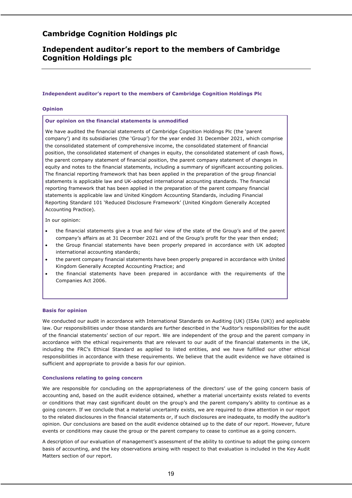### **Independent auditor's report to the members of Cambridge Cognition Holdings plc**

#### **Independent auditor's report to the members of Cambridge Cognition Holdings Plc**

#### **Opinion**

#### **Our opinion on the financial statements is unmodified**

We have audited the financial statements of Cambridge Cognition Holdings Plc (the 'parent company') and its subsidiaries (the 'Group') for the year ended 31 December 2021, which comprise the consolidated statement of comprehensive income, the consolidated statement of financial position, the consolidated statement of changes in equity, the consolidated statement of cash flows, the parent company statement of financial position, the parent company statement of changes in equity and notes to the financial statements, including a summary of significant accounting policies. The financial reporting framework that has been applied in the preparation of the group financial statements is applicable law and UK-adopted international accounting standards. The financial reporting framework that has been applied in the preparation of the parent company financial statements is applicable law and United Kingdom Accounting Standards, including Financial Reporting Standard 101 'Reduced Disclosure Framework' (United Kingdom Generally Accepted Accounting Practice).

In our opinion:

- the financial statements give a true and fair view of the state of the Group's and of the parent company's affairs as at 31 December 2021 and of the Group's profit for the year then ended;
- the Group financial statements have been properly prepared in accordance with UK adopted international accounting standards;
- the parent company financial statements have been properly prepared in accordance with United Kingdom Generally Accepted Accounting Practice; and
- the financial statements have been prepared in accordance with the requirements of the Companies Act 2006.

#### **Basis for opinion**

We conducted our audit in accordance with International Standards on Auditing (UK) (ISAs (UK)) and applicable law. Our responsibilities under those standards are further described in the 'Auditor's responsibilities for the audit of the financial statements' section of our report. We are independent of the group and the parent company in accordance with the ethical requirements that are relevant to our audit of the financial statements in the UK, including the FRC's Ethical Standard as applied to listed entities, and we have fulfilled our other ethical responsibilities in accordance with these requirements. We believe that the audit evidence we have obtained is sufficient and appropriate to provide a basis for our opinion.

#### **Conclusions relating to going concern**

We are responsible for concluding on the appropriateness of the directors' use of the going concern basis of accounting and, based on the audit evidence obtained, whether a material uncertainty exists related to events or conditions that may cast significant doubt on the group's and the parent company's ability to continue as a going concern. If we conclude that a material uncertainty exists, we are required to draw attention in our report to the related disclosures in the financial statements or, if such disclosures are inadequate, to modify the auditor's opinion. Our conclusions are based on the audit evidence obtained up to the date of our report. However, future events or conditions may cause the group or the parent company to cease to continue as a going concern.

A description of our evaluation of management's assessment of the ability to continue to adopt the going concern basis of accounting, and the key observations arising with respect to that evaluation is included in the Key Audit Matters section of our report.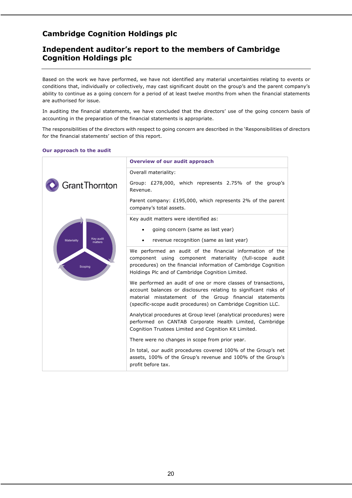### **Independent auditor's report to the members of Cambridge Cognition Holdings plc**

Based on the work we have performed, we have not identified any material uncertainties relating to events or conditions that, individually or collectively, may cast significant doubt on the group's and the parent company's ability to continue as a going concern for a period of at least twelve months from when the financial statements are authorised for issue.

In auditing the financial statements, we have concluded that the directors' use of the going concern basis of accounting in the preparation of the financial statements is appropriate.

The responsibilities of the directors with respect to going concern are described in the 'Responsibilities of directors for the financial statements' section of this report.

### **Our approach to the audit**

|                                     | <b>Overview of our audit approach</b>                                                                                                                                                                                                                         |
|-------------------------------------|---------------------------------------------------------------------------------------------------------------------------------------------------------------------------------------------------------------------------------------------------------------|
|                                     | Overall materiality:                                                                                                                                                                                                                                          |
| <b>Grant Thornton</b>               | Group: £278,000, which represents 2.75% of the group's<br>Revenue.                                                                                                                                                                                            |
|                                     | Parent company: £195,000, which represents 2% of the parent<br>company's total assets.                                                                                                                                                                        |
|                                     | Key audit matters were identified as:                                                                                                                                                                                                                         |
|                                     | going concern (same as last year)<br>٠                                                                                                                                                                                                                        |
| Key audit<br>Materiality<br>matters | revenue recognition (same as last year)<br>$\bullet$                                                                                                                                                                                                          |
| Scoping                             | We performed an audit of the financial information of the<br>component using component materiality (full-scope audit<br>procedures) on the financial information of Cambridge Cognition<br>Holdings Plc and of Cambridge Cognition Limited.                   |
|                                     | We performed an audit of one or more classes of transactions,<br>account balances or disclosures relating to significant risks of<br>material misstatement of the Group financial statements<br>(specific-scope audit procedures) on Cambridge Cognition LLC. |
|                                     | Analytical procedures at Group level (analytical procedures) were<br>performed on CANTAB Corporate Health Limited, Cambridge<br>Cognition Trustees Limited and Cognition Kit Limited.                                                                         |
|                                     | There were no changes in scope from prior year.                                                                                                                                                                                                               |
|                                     | In total, our audit procedures covered 100% of the Group's net<br>assets, 100% of the Group's revenue and 100% of the Group's<br>profit before tax.                                                                                                           |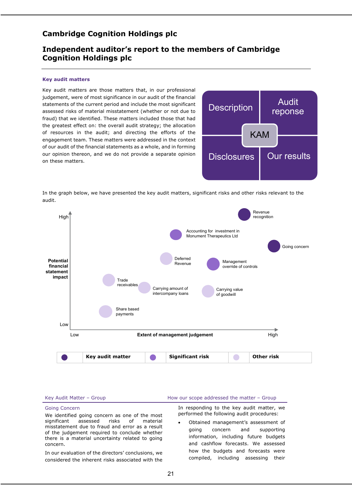### **Independent auditor's report to the members of Cambridge Cognition Holdings plc**

#### **Key audit matters**

Key audit matters are those matters that, in our professional judgement, were of most significance in our audit of the financial statements of the current period and include the most significant assessed risks of material misstatement (whether or not due to fraud) that we identified. These matters included those that had the greatest effect on: the overall audit strategy; the allocation of resources in the audit; and directing the efforts of the engagement team. These matters were addressed in the context of our audit of the financial statements as a whole, and in forming our opinion thereon, and we do not provide a separate opinion on these matters.



In the graph below, we have presented the key audit matters, significant risks and other risks relevant to the audit.



#### Key Audit Matter – Group How our scope addressed the matter – Group

#### Going Concern

We identified going concern as one of the most significant assessed risks of material misstatement due to fraud and error as a result of the judgement required to conclude whether there is a material uncertainty related to going concern.

In our evaluation of the directors' conclusions, we considered the inherent risks associated with the

In responding to the key audit matter, we performed the following audit procedures:

• Obtained management's assessment of going concern and supporting information, including future budgets and cashflow forecasts. We assessed how the budgets and forecasts were compiled, including assessing their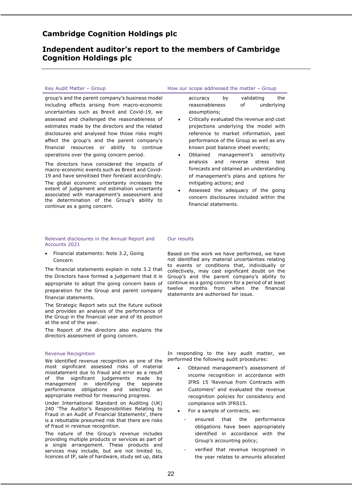### **Independent auditor's report to the members of Cambridge Cognition Holdings plc**

Key Audit Matter – Group The Matter – Group How our scope addressed the matter – Group

group's and the parent company's business model including effects arising from macro-economic uncertainties such as Brexit and Covid-19, we assessed and challenged the reasonableness of estimates made by the directors and the related disclosures and analysed how those risks might affect the group's and the parent company's financial resources or ability to continue operations over the going concern period.

The directors have considered the impacts of macro-economic events such as Brexit and Covid-19 and have sensitised their forecast accordingly. The global economic uncertainty increases the extent of judgement and estimation uncertainty associated with management's assessment and the determination of the Group's ability to continue as a going concern.

#### Relevant disclosures in the Annual Report and Accounts 2021

• Financial statements: Note 3.2, Going Concern

The financial statements explain in note 3.2 that the Directors have formed a judgement that it is appropriate to adopt the going concern basis of preparation for the Group and parent company financial statements.

The Strategic Report sets out the future outlook and provides an analysis of the performance of the Group in the financial year and of its position at the end of the year.

The Report of the directors also explains the directors assessment of going concern.

#### Revenue Recognition

We identified revenue recognition as one of the most significant assessed risks of material misstatement due to fraud and error as a result of the significant judgements made by management in identifying the separate performance obligations and selecting an appropriate method for measuring progress.

Under International Standard on Auditing (UK) 240 'The Auditor's Responsibilities Relating to Fraud in an Audit of Financial Statements', there is a rebuttable presumed risk that there are risks of fraud in revenue recognition.

The nature of the Group's revenue includes providing multiple products or services as part of a single arrangement. These products and services may include, but are not limited to, licences of IP, sale of hardware, study set up, data accuracy by validating the reasonableness of underlying assumptions;

- Critically evaluated the revenue and cost projections underlying the model with reference to market information, past performance of the Group as well as any known post balance sheet events;
- Obtained management's sensitivity analysis and reverse stress test forecasts and obtained an understanding of management's plans and options for mitigating actions; and
- Assessed the adequacy of the going concern disclosures included within the financial statements.

#### Our results

Based on the work we have performed, we have not identified any material uncertainties relating to events or conditions that, individually or collectively, may cast significant doubt on the Group's and the parent company's ability to continue as a going concern for a period of at least twelve months from when the financial statements are authorised for issue.

In responding to the key audit matter, we performed the following audit procedures:

- Obtained management's assessment of income recognition in accordance with IFRS 15 'Revenue from Contracts with Customers' and evaluated the revenue recognition policies for consistency and compliance with IFRS15.
- For a sample of contracts, we:
	- ensured that the performance obligations have been appropriately identified in accordance with the Group's accounting policy;
	- verified that revenue recognised in the year relates to amounts allocated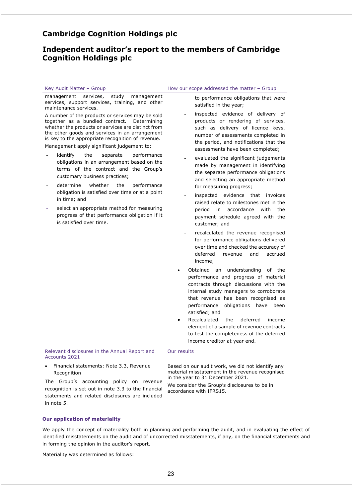### **Independent auditor's report to the members of Cambridge Cognition Holdings plc**

#### Key Audit Matter – Group The Matter – Group How our scope addressed the matter – Group

management services, study management services, support services, training, and other maintenance services.

A number of the products or services may be sold together as a bundled contract. Determining whether the products or services are distinct from the other goods and services in an arrangement is key to the appropriate recognition of revenue. Management apply significant judgement to:

- identify the separate performance obligations in an arrangement based on the terms of the contract and the Group's customary business practices;
- determine whether the performance obligation is satisfied over time or at a point in time; and
- select an appropriate method for measuring progress of that performance obligation if it is satisfied over time.

to performance obligations that were satisfied in the year;

- inspected evidence of delivery of products or rendering of services, such as delivery of licence keys, number of assessments completed in the period, and notifications that the assessments have been completed;
- evaluated the significant judgements made by management in identifying the separate performance obligations and selecting an appropriate method for measuring progress;
- inspected evidence that invoices raised relate to milestones met in the period in accordance with the payment schedule agreed with the customer; and
- recalculated the revenue recognised for performance obligations delivered over time and checked the accuracy of deferred revenue and accrued income;
- Obtained an understanding of the performance and progress of material contracts through discussions with the internal study managers to corroborate that revenue has been recognised as performance obligations have been satisfied; and
- Recalculated the deferred income element of a sample of revenue contracts to test the completeness of the deferred income creditor at year end.

Relevant disclosures in the Annual Report and Accounts 2021

#### Our results

Based on our audit work, we did not identify any material misstatement in the revenue recognised in the year to 31 December 2021.

We consider the Group's disclosures to be in accordance with IFRS15.

### • Financial statements: Note 3.3, Revenue Recognition

The Group's accounting policy on revenue recognition is set out in note 3.3 to the financial statements and related disclosures are included in note 5.

#### **Our application of materiality**

We apply the concept of materiality both in planning and performing the audit, and in evaluating the effect of identified misstatements on the audit and of uncorrected misstatements, if any, on the financial statements and in forming the opinion in the auditor's report.

Materiality was determined as follows: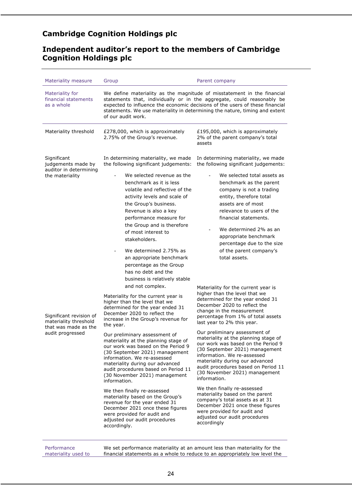### **Independent auditor's report to the members of Cambridge Cognition Holdings plc**

| Materiality measure                                                                                                                                                            | Group                                                                                                                                                                                                                                                                                                                                                                                                                                                                                                                                                                                                                                                                                                                                                                                                                                                                                                                                                                                                                                                                                                                                                                                                                                                                        | Parent company                                                                                                                                                                                                                                                                                                                                                                                                                                                                                                                                                                                                                                                                                                                                                                                                                                                                                                                                                                                                                                                                                                                                                                         |
|--------------------------------------------------------------------------------------------------------------------------------------------------------------------------------|------------------------------------------------------------------------------------------------------------------------------------------------------------------------------------------------------------------------------------------------------------------------------------------------------------------------------------------------------------------------------------------------------------------------------------------------------------------------------------------------------------------------------------------------------------------------------------------------------------------------------------------------------------------------------------------------------------------------------------------------------------------------------------------------------------------------------------------------------------------------------------------------------------------------------------------------------------------------------------------------------------------------------------------------------------------------------------------------------------------------------------------------------------------------------------------------------------------------------------------------------------------------------|----------------------------------------------------------------------------------------------------------------------------------------------------------------------------------------------------------------------------------------------------------------------------------------------------------------------------------------------------------------------------------------------------------------------------------------------------------------------------------------------------------------------------------------------------------------------------------------------------------------------------------------------------------------------------------------------------------------------------------------------------------------------------------------------------------------------------------------------------------------------------------------------------------------------------------------------------------------------------------------------------------------------------------------------------------------------------------------------------------------------------------------------------------------------------------------|
| Materiality for<br>financial statements<br>as a whole                                                                                                                          | of our audit work.                                                                                                                                                                                                                                                                                                                                                                                                                                                                                                                                                                                                                                                                                                                                                                                                                                                                                                                                                                                                                                                                                                                                                                                                                                                           | We define materiality as the magnitude of misstatement in the financial<br>statements that, individually or in the aggregate, could reasonably be<br>expected to influence the economic decisions of the users of these financial<br>statements. We use materiality in determining the nature, timing and extent                                                                                                                                                                                                                                                                                                                                                                                                                                                                                                                                                                                                                                                                                                                                                                                                                                                                       |
| Materiality threshold                                                                                                                                                          | £278,000, which is approximately<br>2.75% of the Group's revenue.                                                                                                                                                                                                                                                                                                                                                                                                                                                                                                                                                                                                                                                                                                                                                                                                                                                                                                                                                                                                                                                                                                                                                                                                            | £195,000, which is approximately<br>2% of the parent company's total<br>assets                                                                                                                                                                                                                                                                                                                                                                                                                                                                                                                                                                                                                                                                                                                                                                                                                                                                                                                                                                                                                                                                                                         |
| Significant<br>judgements made by<br>auditor in determining<br>the materiality<br>Significant revision of<br>materiality threshold<br>that was made as the<br>audit progressed | In determining materiality, we made<br>the following significant judgements:<br>We selected revenue as the<br>$\overline{a}$<br>benchmark as it is less<br>volatile and reflective of the<br>activity levels and scale of<br>the Group's business.<br>Revenue is also a key<br>performance measure for<br>the Group and is therefore<br>of most interest to<br>stakeholders.<br>We determined 2.75% as<br>an appropriate benchmark<br>percentage as the Group<br>has no debt and the<br>business is relatively stable<br>and not complex.<br>Materiality for the current year is<br>higher than the level that we<br>determined for the year ended 31<br>December 2020 to reflect the<br>increase in the Group's revenue for<br>the year.<br>Our preliminary assessment of<br>materiality at the planning stage of<br>our work was based on the Period 9<br>(30 September 2021) management<br>information. We re-assessed<br>materiality during our advanced<br>audit procedures based on Period 11<br>(30 November 2021) management<br>information.<br>We then finally re-assessed<br>materiality based on the Group's<br>revenue for the year ended 31<br>December 2021 once these figures<br>were provided for audit and<br>adjusted our audit procedures<br>accordingly. | In determining materiality, we made<br>the following significant judgements:<br>We selected total assets as<br>benchmark as the parent<br>company is not a trading<br>entity, therefore total<br>assets are of most<br>relevance to users of the<br>financial statements.<br>We determined 2% as an<br>appropriate benchmark<br>percentage due to the size<br>of the parent company's<br>total assets.<br>Materiality for the current year is<br>higher than the level that we<br>determined for the year ended 31<br>December 2020 to reflect the<br>change in the measurement<br>percentage from 1% of total assets<br>last year to 2% this year.<br>Our preliminary assessment of<br>materiality at the planning stage of<br>our work was based on the Period 9<br>(30 September 2021) management<br>information. We re-assessed<br>materiality during our advanced<br>audit procedures based on Period 11<br>(30 November 2021) management<br>information.<br>We then finally re-assessed<br>materiality based on the parent<br>company's total assets as at 31<br>December 2021 once these figures<br>were provided for audit and<br>adjusted our audit procedures<br>accordingly |
|                                                                                                                                                                                |                                                                                                                                                                                                                                                                                                                                                                                                                                                                                                                                                                                                                                                                                                                                                                                                                                                                                                                                                                                                                                                                                                                                                                                                                                                                              |                                                                                                                                                                                                                                                                                                                                                                                                                                                                                                                                                                                                                                                                                                                                                                                                                                                                                                                                                                                                                                                                                                                                                                                        |

Performance materiality used to

We set performance materiality at an amount less than materiality for the financial statements as a whole to reduce to an appropriately low level the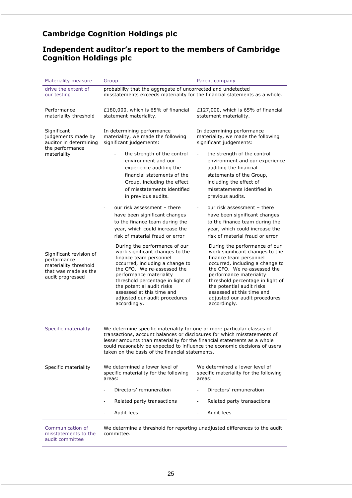### **Independent auditor's report to the members of Cambridge Cognition Holdings plc**

| Materiality measure                                                      | Group                                                                                                                                                                                                                                                                                                                                                                                                                                                                  | Parent company                                                                                                                                                                                                                                                                                                                                                                                                                                                                                     |
|--------------------------------------------------------------------------|------------------------------------------------------------------------------------------------------------------------------------------------------------------------------------------------------------------------------------------------------------------------------------------------------------------------------------------------------------------------------------------------------------------------------------------------------------------------|----------------------------------------------------------------------------------------------------------------------------------------------------------------------------------------------------------------------------------------------------------------------------------------------------------------------------------------------------------------------------------------------------------------------------------------------------------------------------------------------------|
| drive the extent of<br>our testing                                       | probability that the aggregate of uncorrected and undetected<br>misstatements exceeds materiality for the financial statements as a whole.                                                                                                                                                                                                                                                                                                                             |                                                                                                                                                                                                                                                                                                                                                                                                                                                                                                    |
| Performance<br>materiality threshold                                     | £180,000, which is 65% of financial<br>statement materiality.                                                                                                                                                                                                                                                                                                                                                                                                          | £127,000, which is 65% of financial<br>statement materiality.                                                                                                                                                                                                                                                                                                                                                                                                                                      |
| Significant<br>judgements made by<br>auditor in determining              | In determining performance<br>materiality, we made the following<br>significant judgements:                                                                                                                                                                                                                                                                                                                                                                            | In determining performance<br>materiality, we made the following<br>significant judgements:                                                                                                                                                                                                                                                                                                                                                                                                        |
| the performance<br>materiality<br>Significant revision of<br>performance | the strength of the control<br>environment and our<br>experience auditing the<br>financial statements of the<br>Group, including the effect<br>of misstatements identified<br>in previous audits.<br>our risk assessment - there<br>have been significant changes<br>to the finance team during the<br>year, which could increase the<br>risk of material fraud or error<br>During the performance of our<br>work significant changes to the<br>finance team personnel | the strength of the control<br>$\overline{\phantom{a}}$<br>environment and our experience<br>auditing the financial<br>statements of the Group,<br>including the effect of<br>misstatements identified in<br>previous audits.<br>our risk assessment - there<br>have been significant changes<br>to the finance team during the<br>year, which could increase the<br>risk of material fraud or error<br>During the performance of our<br>work significant changes to the<br>finance team personnel |
| materiality threshold<br>that was made as the<br>audit progressed        | occurred, including a change to<br>the CFO. We re-assessed the<br>performance materiality<br>threshold percentage in light of<br>the potential audit risks<br>assessed at this time and<br>adjusted our audit procedures<br>accordingly.                                                                                                                                                                                                                               | occurred, including a change to<br>the CFO. We re-assessed the<br>performance materiality<br>threshold percentage in light of<br>the potential audit risks<br>assessed at this time and<br>adjusted our audit procedures<br>accordingly.                                                                                                                                                                                                                                                           |
| <b>Specific materiality</b>                                              | We determine specific materiality for one or more particular classes of<br>transactions, account balances or disclosures for which misstatements of<br>lesser amounts than materiality for the financial statements as a whole<br>could reasonably be expected to influence the economic decisions of users<br>taken on the basis of the financial statements.                                                                                                         |                                                                                                                                                                                                                                                                                                                                                                                                                                                                                                    |
| Specific materiality                                                     | We determined a lower level of<br>specific materiality for the following<br>areas:                                                                                                                                                                                                                                                                                                                                                                                     | We determined a lower level of<br>specific materiality for the following<br>areas:                                                                                                                                                                                                                                                                                                                                                                                                                 |
|                                                                          | Directors' remuneration                                                                                                                                                                                                                                                                                                                                                                                                                                                | Directors' remuneration                                                                                                                                                                                                                                                                                                                                                                                                                                                                            |
|                                                                          | Related party transactions<br>-                                                                                                                                                                                                                                                                                                                                                                                                                                        | Related party transactions<br>$\overline{\phantom{a}}$                                                                                                                                                                                                                                                                                                                                                                                                                                             |
|                                                                          | Audit fees<br>$\overline{\phantom{0}}$                                                                                                                                                                                                                                                                                                                                                                                                                                 | Audit fees                                                                                                                                                                                                                                                                                                                                                                                                                                                                                         |
| Communication of<br>misstatements to the<br>audit committee              | We determine a threshold for reporting unadjusted differences to the audit<br>committee.                                                                                                                                                                                                                                                                                                                                                                               |                                                                                                                                                                                                                                                                                                                                                                                                                                                                                                    |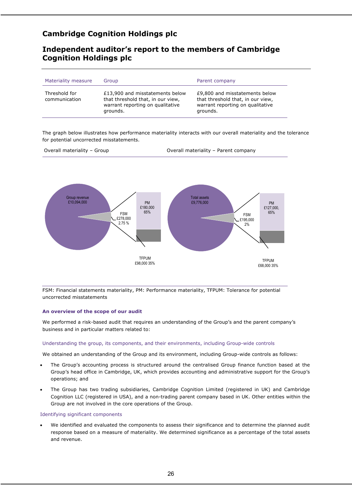### **Independent auditor's report to the members of Cambridge Cognition Holdings plc**

| Materiality measure            | Group                                                                                                                | Parent company                                                                                                      |
|--------------------------------|----------------------------------------------------------------------------------------------------------------------|---------------------------------------------------------------------------------------------------------------------|
| Threshold for<br>communication | £13,900 and misstatements below<br>that threshold that, in our view,<br>warrant reporting on qualitative<br>grounds. | £9,800 and misstatements below<br>that threshold that, in our view,<br>warrant reporting on qualitative<br>grounds. |

The graph below illustrates how performance materiality interacts with our overall materiality and the tolerance for potential uncorrected misstatements.

| Overall materiality - Group | Overall materiality - Parent company |
|-----------------------------|--------------------------------------|
|                             |                                      |



FSM: Financial statements materiality, PM: Performance materiality, TFPUM: Tolerance for potential uncorrected misstatements

#### **An overview of the scope of our audit**

We performed a risk-based audit that requires an understanding of the Group's and the parent company's business and in particular matters related to:

#### Understanding the group, its components, and their environments, including Group-wide controls

We obtained an understanding of the Group and its environment, including Group-wide controls as follows:

- The Group's accounting process is structured around the centralised Group finance function based at the Group's head office in Cambridge, UK, which provides accounting and administrative support for the Group's operations; and
- The Group has two trading subsidiaries, Cambridge Cognition Limited (registered in UK) and Cambridge Cognition LLC (registered in USA), and a non-trading parent company based in UK. Other entities within the Group are not involved in the core operations of the Group.

#### Identifying significant components

• We identified and evaluated the components to assess their significance and to determine the planned audit response based on a measure of materiality. We determined significance as a percentage of the total assets and revenue.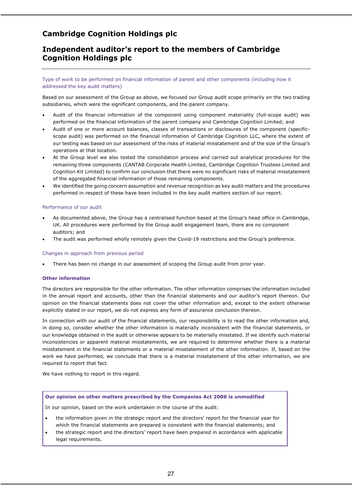### **Independent auditor's report to the members of Cambridge Cognition Holdings plc**

Type of work to be performed on financial information of parent and other components (including how it addressed the key audit matters)

Based on our assessment of the Group as above, we focused our Group audit scope primarily on the two trading subsidiaries, which were the significant components, and the parent company.

- Audit of the financial information of the component using component materiality (full-scope audit) was performed on the financial information of the parent company and Cambridge Cognition Limited; and
- Audit of one or more account balances, classes of transactions or disclosures of the component (specificscope audit) was performed on the financial information of Cambridge Cognition LLC, where the extent of our testing was based on our assessment of the risks of material misstatement and of the size of the Group's operations at that location.
- At the Group level we also tested the consolidation process and carried out analytical procedures for the remaining three components (CANTAB Corporate Health Limited, Cambridge Cognition Trustees Limited and Cognition Kit Limited) to confirm our conclusion that there were no significant risks of material misstatement of the aggregated financial information of those remaining components.
- We identified the going concern assumption and revenue recognition as key audit matters and the procedures performed in respect of these have been included in the key audit matters section of our report.

#### Performance of our audit

- As documented above, the Group has a centralised function based at the Group's head office in Cambridge, UK. All procedures were performed by the Group audit engagement team, there are no component auditors; and
- The audit was performed wholly remotely given the Covid-19 restrictions and the Group's preference.

#### Changes in approach from previous period

There has been no change in our assessment of scoping the Group audit from prior year.

#### **Other information**

The directors are responsible for the other information. The other information comprises the information included in the annual report and accounts, other than the financial statements and our auditor's report thereon. Our opinion on the financial statements does not cover the other information and, except to the extent otherwise explicitly stated in our report, we do not express any form of assurance conclusion thereon.

In connection with our audit of the financial statements, our responsibility is to read the other information and, in doing so, consider whether the other information is materially inconsistent with the financial statements, or our knowledge obtained in the audit or otherwise appears to be materially misstated. If we identify such material inconsistencies or apparent material misstatements, we are required to determine whether there is a material misstatement in the financial statements or a material misstatement of the other information. If, based on the work we have performed, we conclude that there is a material misstatement of this other information, we are required to report that fact.

We have nothing to report in this regard.

#### **Our opinion on other matters prescribed by the Companies Act 2006 is unmodified**

In our opinion, based on the work undertaken in the course of the audit:

- the information given in the strategic report and the directors' report for the financial year for which the financial statements are prepared is consistent with the financial statements; and
- the strategic report and the directors' report have been prepared in accordance with applicable legal requirements.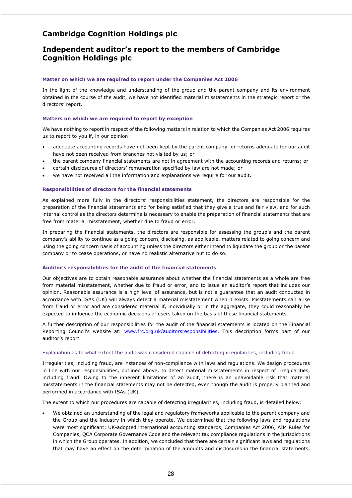### **Independent auditor's report to the members of Cambridge Cognition Holdings plc**

#### **Matter on which we are required to report under the Companies Act 2006**

In the light of the knowledge and understanding of the group and the parent company and its environment obtained in the course of the audit, we have not identified material misstatements in the strategic report or the directors' report.

#### **Matters on which we are required to report by exception**

We have nothing to report in respect of the following matters in relation to which the Companies Act 2006 requires us to report to you if, in our opinion:

- adequate accounting records have not been kept by the parent company, or returns adequate for our audit have not been received from branches not visited by us; or
- the parent company financial statements are not in agreement with the accounting records and returns; or
- certain disclosures of directors' remuneration specified by law are not made; or
- we have not received all the information and explanations we require for our audit.

#### **Responsibilities of directors for the financial statements**

As explained more fully in the directors' responsibilities statement, the directors are responsible for the preparation of the financial statements and for being satisfied that they give a true and fair view, and for such internal control as the directors determine is necessary to enable the preparation of financial statements that are free from material misstatement, whether due to fraud or error.

In preparing the financial statements, the directors are responsible for assessing the group's and the parent company's ability to continue as a going concern, disclosing, as applicable, matters related to going concern and using the going concern basis of accounting unless the directors either intend to liquidate the group or the parent company or to cease operations, or have no realistic alternative but to do so.

#### **Auditor's responsibilities for the audit of the financial statements**

Our objectives are to obtain reasonable assurance about whether the financial statements as a whole are free from material misstatement, whether due to fraud or error, and to issue an auditor's report that includes our opinion. Reasonable assurance is a high level of assurance, but is not a guarantee that an audit conducted in accordance with ISAs (UK) will always detect a material misstatement when it exists. Misstatements can arise from fraud or error and are considered material if, individually or in the aggregate, they could reasonably be expected to influence the economic decisions of users taken on the basis of these financial statements.

A further description of our responsibilities for the audit of the financial statements is located on the Financial Reporting Council's website at: www.frc.org.uk/auditorsresponsibilities. This description forms part of our auditor's report.

#### Explanation as to what extent the audit was considered capable of detecting irregularities, including fraud

Irregularities, including fraud, are instances of non-compliance with laws and regulations. We design procedures in line with our responsibilities, outlined above, to detect material misstatements in respect of irregularities, including fraud. Owing to the inherent limitations of an audit, there is an unavoidable risk that material misstatements in the financial statements may not be detected, even though the audit is properly planned and performed in accordance with ISAs (UK).

The extent to which our procedures are capable of detecting irregularities, including fraud, is detailed below:

• We obtained an understanding of the legal and regulatory frameworks applicable to the parent company and the Group and the industry in which they operate. We determined that the following laws and regulations were most significant: UK-adopted international accounting standards, Companies Act 2006, AIM Rules for Companies, QCA Corporate Governance Code and the relevant tax compliance regulations in the jurisdictions in which the Group operates. In addition, we concluded that there are certain significant laws and regulations that may have an effect on the determination of the amounts and disclosures in the financial statements,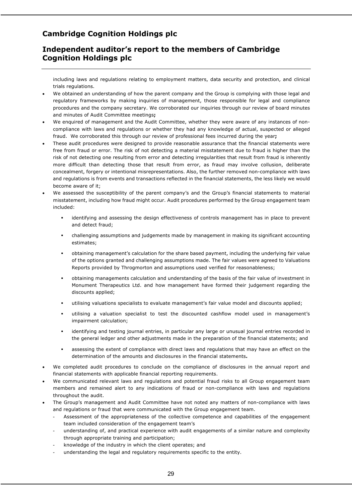### **Independent auditor's report to the members of Cambridge Cognition Holdings plc**

including laws and regulations relating to employment matters, data security and protection, and clinical trials regulations.

- We obtained an understanding of how the parent company and the Group is complying with those legal and regulatory frameworks by making inquiries of management, those responsible for legal and compliance procedures and the company secretary. We corroborated our inquiries through our review of board minutes and minutes of Audit Committee meetings**;**
- We enquired of management and the Audit Committee, whether they were aware of any instances of noncompliance with laws and regulations or whether they had any knowledge of actual, suspected or alleged fraud. We corroborated this through our review of professional fees incurred during the year**;**
- These audit procedures were designed to provide reasonable assurance that the financial statements were free from fraud or error. The risk of not detecting a material misstatement due to fraud is higher than the risk of not detecting one resulting from error and detecting irregularities that result from fraud is inherently more difficult than detecting those that result from error, as fraud may involve collusion, deliberate concealment, forgery or intentional misrepresentations. Also, the further removed non-compliance with laws and regulations is from events and transactions reflected in the financial statements, the less likely we would become aware of it;
- We assessed the susceptibility of the parent company's and the Group's financial statements to material misstatement, including how fraud might occur. Audit procedures performed by the Group engagement team included:
	- identifying and assessing the design effectiveness of controls management has in place to prevent and detect fraud;
	- challenging assumptions and judgements made by management in making its significant accounting estimates;
	- § obtaining management's calculation for the share based payment, including the underlying fair value of the options granted and challenging assumptions made. The fair values were agreed to Valuations Reports provided by Throgmorton and assumptions used verified for reasonableness;
	- obtaining managements calculation and understanding of the basis of the fair value of investment in Monument Therapeutics Ltd. and how management have formed their judgement regarding the discounts applied;
	- § utilising valuations specialists to evaluate management's fair value model and discounts applied;
	- utilising a valuation specialist to test the discounted cashflow model used in management's impairment calculation;
	- identifying and testing journal entries, in particular any large or unusual journal entries recorded in the general ledger and other adjustments made in the preparation of the financial statements; and
	- assessing the extent of compliance with direct laws and regulations that may have an effect on the determination of the amounts and disclosures in the financial statements**.**
- We completed audit procedures to conclude on the compliance of disclosures in the annual report and financial statements with applicable financial reporting requirements.
- We communicated relevant laws and regulations and potential fraud risks to all Group engagement team members and remained alert to any indications of fraud or non-compliance with laws and regulations throughout the audit.
- The Group's management and Audit Committee have not noted any matters of non-compliance with laws and regulations or fraud that were communicated with the Group engagement team.
	- Assessment of the appropriateness of the collective competence and capabilities of the engagement team included consideration of the engagement team's
	- understanding of, and practical experience with audit engagements of a similar nature and complexity through appropriate training and participation;
	- knowledge of the industry in which the client operates; and
	- understanding the legal and regulatory requirements specific to the entity.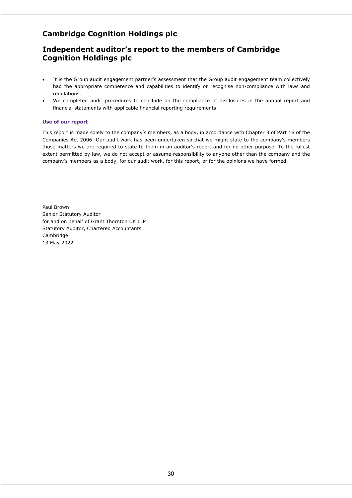### **Independent auditor's report to the members of Cambridge Cognition Holdings plc**

- It is the Group audit engagement partner's assessment that the Group audit engagement team collectively had the appropriate competence and capabilities to identify or recognise non-compliance with laws and regulations.
- We completed audit procedures to conclude on the compliance of disclosures in the annual report and financial statements with applicable financial reporting requirements.

#### **Use of our report**

This report is made solely to the company's members, as a body, in accordance with Chapter 3 of Part 16 of the Companies Act 2006. Our audit work has been undertaken so that we might state to the company's members those matters we are required to state to them in an auditor's report and for no other purpose. To the fullest extent permitted by law, we do not accept or assume responsibility to anyone other than the company and the company's members as a body, for our audit work, for this report, or for the opinions we have formed.

Paul Brown Senior Statutory Auditor for and on behalf of Grant Thornton UK LLP Statutory Auditor, Chartered Accountants Cambridge 13 May 2022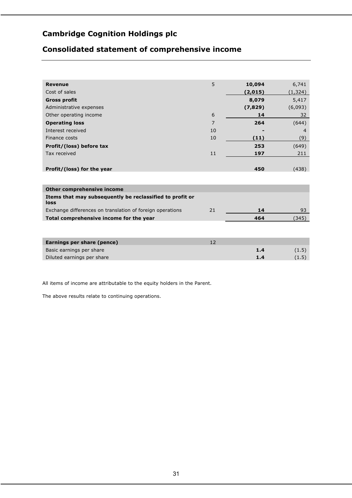### **Consolidated statement of comprehensive income**

| <b>Revenue</b>                                                   | 5              | 10,094  | 6,741          |
|------------------------------------------------------------------|----------------|---------|----------------|
| Cost of sales                                                    |                | (2,015) | (1, 324)       |
| <b>Gross profit</b>                                              |                | 8,079   | 5,417          |
| Administrative expenses                                          |                | (7,829) | (6,093)        |
| Other operating income                                           | 6              | 14      | 32             |
| <b>Operating loss</b>                                            | $\overline{7}$ | 264     | (644)          |
| Interest received                                                | 10             |         | $\overline{4}$ |
| Finance costs                                                    | 10             | (11)    | (9)            |
| Profit/(loss) before tax                                         |                | 253     | (649)          |
| Tax received                                                     | 11             | 197     | 211            |
|                                                                  |                |         |                |
| Profit/(loss) for the year                                       |                | 450     | (438)          |
|                                                                  |                |         |                |
|                                                                  |                |         |                |
| Other comprehensive income                                       |                |         |                |
| Items that may subsequently be reclassified to profit or<br>loss |                |         |                |
| Exchange differences on translation of foreign operations        | 21             | 14      | 93             |
| Total comprehensive income for the year                          |                | 464     | (345)          |
|                                                                  |                |         |                |
| Earnings per share (pence)                                       | 12             |         |                |
| Basic earnings per share                                         |                | 1.4     | (1.5)          |

Diluted earnings per share **1.4** (1.5)

All items of income are attributable to the equity holders in the Parent.

The above results relate to continuing operations.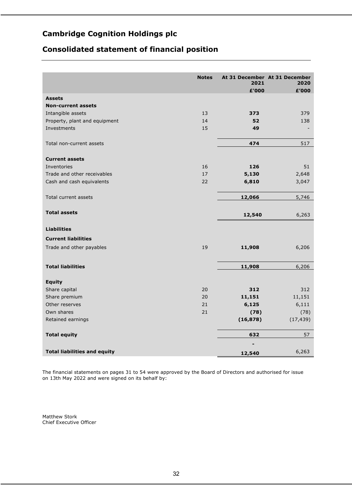### **Consolidated statement of financial position**

|                                     | <b>Notes</b> | At 31 December At 31 December<br>2021 | 2020      |
|-------------------------------------|--------------|---------------------------------------|-----------|
|                                     |              | £'000                                 | £'000     |
| <b>Assets</b>                       |              |                                       |           |
| <b>Non-current assets</b>           |              |                                       |           |
| Intangible assets                   | 13           | 373                                   | 379       |
| Property, plant and equipment       | 14           | 52                                    | 138       |
| Investments                         | 15           | 49                                    |           |
|                                     |              |                                       |           |
| Total non-current assets            |              | 474                                   | 517       |
| <b>Current assets</b>               |              |                                       |           |
| Inventories                         | 16           | 126                                   | 51        |
| Trade and other receivables         | 17           | 5,130                                 | 2,648     |
| Cash and cash equivalents           | 22           | 6,810                                 | 3,047     |
|                                     |              |                                       |           |
| Total current assets                |              | 12,066                                | 5,746     |
|                                     |              |                                       |           |
| <b>Total assets</b>                 |              |                                       |           |
|                                     |              | 12,540                                | 6,263     |
| <b>Liabilities</b>                  |              |                                       |           |
| <b>Current liabilities</b>          |              |                                       |           |
| Trade and other payables            | 19           | 11,908                                | 6,206     |
|                                     |              |                                       |           |
|                                     |              |                                       |           |
| <b>Total liabilities</b>            |              | 11,908                                | 6,206     |
|                                     |              |                                       |           |
| <b>Equity</b>                       |              |                                       |           |
| Share capital                       | 20           | 312                                   | 312       |
| Share premium                       | 20           | 11,151                                | 11,151    |
| Other reserves                      | 21           | 6,125                                 | 6,111     |
| Own shares                          | 21           | (78)                                  | (78)      |
| Retained earnings                   |              | (16, 878)                             | (17, 439) |
| <b>Total equity</b>                 |              | 632                                   | 57        |
|                                     |              |                                       |           |
| <b>Total liabilities and equity</b> |              | 12,540                                | 6,263     |

The financial statements on pages 31 to 54 were approved by the Board of Directors and authorised for issue on 13th May 2022 and were signed on its behalf by:

Matthew Stork Chief Executive Officer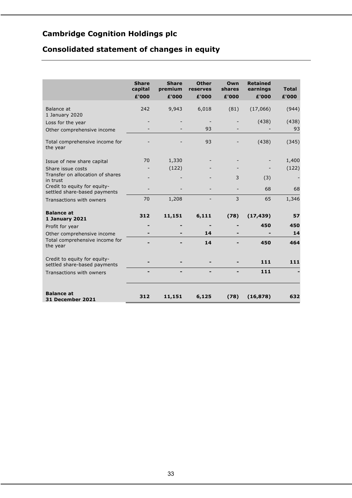## **Consolidated statement of changes in equity**

|                                                              | <b>Share</b><br>capital<br>£'000 | <b>Share</b><br>premium<br>£'000 | <b>Other</b><br>reserves<br>£'000 | Own<br>shares<br>£'000 | <b>Retained</b><br>earnings<br>£'000 | <b>Total</b><br>£'000 |
|--------------------------------------------------------------|----------------------------------|----------------------------------|-----------------------------------|------------------------|--------------------------------------|-----------------------|
| Balance at<br>1 January 2020                                 | 242                              | 9,943                            | 6,018                             | (81)                   | (17,066)                             | (944)                 |
| Loss for the year                                            |                                  |                                  |                                   |                        | (438)                                | (438)                 |
| Other comprehensive income                                   |                                  |                                  | 93                                |                        |                                      | 93                    |
| Total comprehensive income for<br>the year                   |                                  |                                  | 93                                |                        | (438)                                | (345)                 |
| Issue of new share capital                                   | 70                               | 1,330                            |                                   |                        |                                      | 1,400                 |
| Share issue costs                                            |                                  | (122)                            |                                   |                        |                                      | (122)                 |
| Transfer on allocation of shares<br>in trust                 |                                  |                                  |                                   | 3                      | (3)                                  |                       |
| Credit to equity for equity-<br>settled share-based payments |                                  |                                  |                                   |                        | 68                                   | 68                    |
| Transactions with owners                                     | 70                               | 1,208                            |                                   | 3                      | 65                                   | 1,346                 |
| <b>Balance at</b><br>1 January 2021                          | 312                              | 11,151                           | 6,111                             | (78)                   | (17, 439)                            | 57                    |
| Profit for year                                              |                                  |                                  |                                   |                        | 450                                  | 450                   |
| Other comprehensive income                                   |                                  |                                  | 14                                |                        |                                      | 14                    |
| Total comprehensive income for<br>the year                   |                                  |                                  | 14                                |                        | 450                                  | 464                   |
| Credit to equity for equity-<br>settled share-based payments |                                  |                                  |                                   |                        | 111                                  | 111                   |
| Transactions with owners                                     |                                  |                                  |                                   |                        | 111                                  |                       |
| <b>Balance at</b><br><b>31 December 2021</b>                 | 312                              | 11,151                           | 6,125                             | (78)                   | (16, 878)                            | 632                   |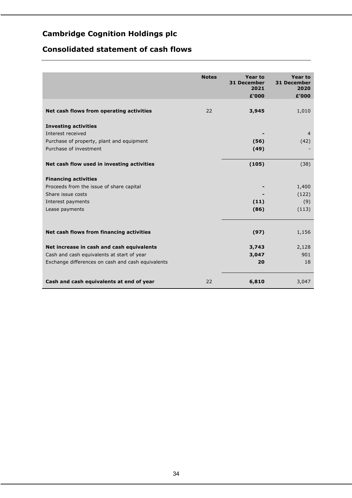## **Consolidated statement of cash flows**

|                                                   | <b>Notes</b> | Year to<br><b>31 December</b><br>2021<br>£'000 | Year to<br><b>31 December</b><br>2020<br>£'000 |
|---------------------------------------------------|--------------|------------------------------------------------|------------------------------------------------|
| Net cash flows from operating activities          | 22           | 3,945                                          | 1,010                                          |
| <b>Investing activities</b>                       |              |                                                |                                                |
| Interest received                                 |              |                                                | 4                                              |
| Purchase of property, plant and equipment         |              | (56)                                           | (42)                                           |
| Purchase of investment                            |              | (49)                                           |                                                |
| Net cash flow used in investing activities        |              | (105)                                          | (38)                                           |
| <b>Financing activities</b>                       |              |                                                |                                                |
| Proceeds from the issue of share capital          |              |                                                | 1,400                                          |
| Share issue costs                                 |              |                                                | (122)                                          |
| Interest payments                                 |              | (11)                                           | (9)                                            |
| Lease payments                                    |              | (86)                                           | (113)                                          |
|                                                   |              |                                                |                                                |
| Net cash flows from financing activities          |              | (97)                                           | 1,156                                          |
| Net increase in cash and cash equivalents         |              | 3,743                                          | 2,128                                          |
| Cash and cash equivalents at start of year        |              | 3,047                                          | 901                                            |
| Exchange differences on cash and cash equivalents |              | 20                                             | 18                                             |
| Cash and cash equivalents at end of year          | 22           | 6,810                                          | 3,047                                          |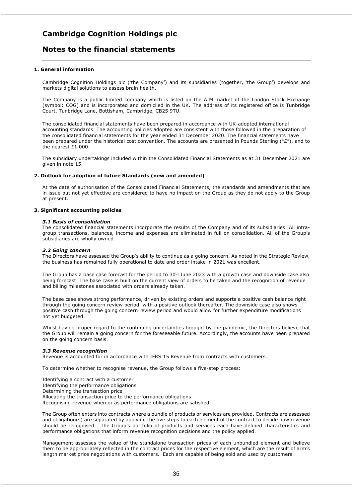### **Notes to the financial statements**

#### **1. General information**

Cambridge Cognition Holdings plc ('the Company') and its subsidiaries (together, 'the Group') develops and markets digital solutions to assess brain health.

The Company is a public limited company which is listed on the AIM market of the London Stock Exchange (symbol: COG) and is incorporated and domiciled in the UK. The address of its registered office is Tunbridge Court, Tunbridge Lane, Bottisham, Cambridge, CB25 9TU.

The consolidated financial statements have been prepared in accordance with UK-adopted international accounting standards. The accounting policies adopted are consistent with those followed in the preparation of the consolidated financial statements for the year ended 31 December 2020. The financial statements have been prepared under the historical cost convention. The accounts are presented in Pounds Sterling ("£"), and to the nearest £1,000.

The subsidiary undertakings included within the Consolidated Financial Statements as at 31 December 2021 are given in note 15.

#### **2. Outlook for adoption of future Standards (new and amended)**

At the date of authorisation of the Consolidated Financial Statements, the standards and amendments that are in issue but not yet effective are considered to have no impact on the Group as they do not apply to the Group at present.

#### **3. Significant accounting policies**

#### *3.1 Basis of consolidation*

The consolidated financial statements incorporate the results of the Company and of its subsidiaries. All intragroup transactions, balances, income and expenses are eliminated in full on consolidation. All of the Group's subsidiaries are wholly owned.

#### *3.2 Going concern*

The Directors have assessed the Group's ability to continue as a going concern. As noted in the Strategic Review, the business has remained fully operational to date and order intake in 2021 was excellent.

The Group has a base case forecast for the period to 30<sup>th</sup> June 2023 with a growth case and downside case also being forecast. The base case is built on the current view of orders to be taken and the recognition of revenue and billing milestones associated with orders already taken.

The base case shows strong performance, driven by existing orders and supports a positive cash balance right through the going concern review period, with a positive outlook thereafter. The downside case also shows positive cash through the going concern review period and would allow for further expenditure modifications not yet budgeted.

Whilst having proper regard to the continuing uncertainties brought by the pandemic, the Directors believe that the Group will remain a going concern for the foreseeable future. Accordingly, the accounts have been prepared on the going concern basis.

#### *3.3 Revenue recognition*

Revenue is accounted for in accordance with IFRS 15 Revenue from contracts with customers.

To determine whether to recognise revenue, the Group follows a five-step process:

Identifying a contract with a customer Identifying the performance obligations Determining the transaction price Allocating the transaction price to the performance obligations Recognising revenue when or as performance obligations are satisfied

The Group often enters into contracts where a bundle of products or services are provided. Contracts are assessed and obligation(s) are separated by applying the five steps to each element of the contract to decide how revenue should be recognised. The Group's portfolio of products and services each have defined characteristics and performance obligations that inform revenue recognition decisions and the policy applied.

Management assesses the value of the standalone transaction prices of each unbundled element and believe them to be appropriately reflected in the contract prices for the respective element, which are the result of arm's length market price negotiations with customers. Each are capable of being sold and used by customers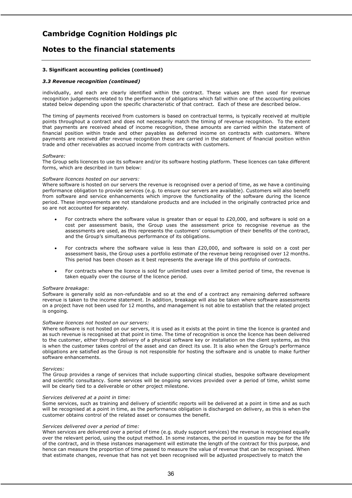### **Notes to the financial statements**

#### **3. Significant accounting policies (continued)**

#### *3.3 Revenue recognition (continued)*

individually, and each are clearly identified within the contract. These values are then used for revenue recognition judgements related to the performance of obligations which fall within one of the accounting policies stated below depending upon the specific characteristic of that contract. Each of these are described below.

The timing of payments received from customers is based on contractual terms, is typically received at multiple points throughout a contract and does not necessarily match the timing of revenue recognition. To the extent that payments are received ahead of income recognition, these amounts are carried within the statement of financial position within trade and other payables as deferred income on contracts with customers. Where payments are received after revenue recognition these are carried in the statement of financial position within trade and other receivables as accrued income from contracts with customers.

#### *Software:*

The Group sells licences to use its software and/or its software hosting platform. These licences can take different forms, which are described in turn below:

#### *Software licences hosted on our servers:*

Where software is hosted on our servers the revenue is recognised over a period of time, as we have a continuing performance obligation to provide services (e.g. to ensure our servers are available). Customers will also benefit from software and service enhancements which improve the functionality of the software during the licence period. These improvements are not standalone products and are included in the originally contracted price and so are not accounted for separately.

- For contracts where the software value is greater than or equal to  $£20,000$ , and software is sold on a cost per assessment basis, the Group uses the assessment price to recognise revenue as the assessments are used, as this represents the customers' consumption of their benefits of the contract, and the Group's simultaneous performance of its obligations.
- For contracts where the software value is less than £20,000, and software is sold on a cost per assessment basis, the Group uses a portfolio estimate of the revenue being recognised over 12 months. This period has been chosen as it best represents the average life of this portfolio of contracts.
- For contracts where the licence is sold for unlimited uses over a limited period of time, the revenue is taken equally over the course of the licence period.

#### *Software breakage:*

Software is generally sold as non-refundable and so at the end of a contract any remaining deferred software revenue is taken to the income statement. In addition, breakage will also be taken where software assessments on a project have not been used for 12 months, and management is not able to establish that the related project is ongoing.

#### *Software licences not hosted on our servers:*

Where software is not hosted on our servers, it is used as it exists at the point in time the licence is granted and as such revenue is recognised at that point in time. The time of recognition is once the licence has been delivered to the customer, either through delivery of a physical software key or installation on the client systems, as this is when the customer takes control of the asset and can direct its use. It is also when the Group's performance obligations are satisfied as the Group is not responsible for hosting the software and is unable to make further software enhancements.

#### *Services:*

The Group provides a range of services that include supporting clinical studies, bespoke software development and scientific consultancy. Some services will be ongoing services provided over a period of time, whilst some will be clearly tied to a deliverable or other project milestone.

#### *Services delivered at a point in time:*

Some services, such as training and delivery of scientific reports will be delivered at a point in time and as such will be recognised at a point in time, as the performance obligation is discharged on delivery, as this is when the customer obtains control of the related asset or consumes the benefit.

#### *Services delivered over a period of time:*

When services are delivered over a period of time (e.g. study support services) the revenue is recognised equally over the relevant period, using the output method. In some instances, the period in question may be for the life of the contract, and in these instances management will estimate the length of the contract for this purpose, and hence can measure the proportion of time passed to measure the value of revenue that can be recognised. When that estimate changes, revenue that has not yet been recognised will be adjusted prospectively to match the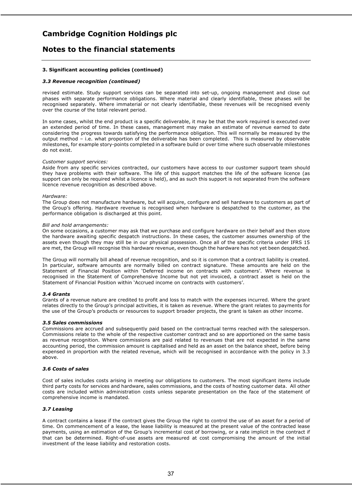### **Notes to the financial statements**

#### **3. Significant accounting policies (continued)**

#### *3.3 Revenue recognition (continued)*

revised estimate. Study support services can be separated into set-up, ongoing management and close out phases with separate performance obligations. Where material and clearly identifiable, these phases will be recognised separately. Where immaterial or not clearly identifiable, these revenues will be recognised evenly over the course of the total relevant period.

In some cases, whilst the end product is a specific deliverable, it may be that the work required is executed over an extended period of time. In these cases, management may make an estimate of revenue earned to date considering the progress towards satisfying the performance obligation. This will normally be measured by the output method – i.e. what proportion of the deliverable has been completed. This is measured by observable milestones, for example story-points completed in a software build or over time where such observable milestones do not exist.

#### *Customer support services:*

Aside from any specific services contracted, our customers have access to our customer support team should they have problems with their software. The life of this support matches the life of the software licence (as support can only be required whilst a licence is held), and as such this support is not separated from the software licence revenue recognition as described above.

#### *Hardware:*

The Group does not manufacture hardware, but will acquire, configure and sell hardware to customers as part of the Group's offering. Hardware revenue is recognised when hardware is despatched to the customer, as the performance obligation is discharged at this point.

#### *Bill and hold arrangements:*

On some occasions, a customer may ask that we purchase and configure hardware on their behalf and then store the hardware awaiting specific despatch instructions. In these cases, the customer assumes ownership of the assets even though they may still be in our physical possession. Once all of the specific criteria under IFRS 15 are met, the Group will recognise this hardware revenue, even though the hardware has not yet been despatched.

The Group will normally bill ahead of revenue recognition, and so it is common that a contract liability is created. In particular, software amounts are normally billed on contract signature. These amounts are held on the Statement of Financial Position within 'Deferred income on contracts with customers'. Where revenue is recognised in the Statement of Comprehensive Income but not yet invoiced, a contract asset is held on the Statement of Financial Position within 'Accrued income on contracts with customers'.

#### *3.4 Grants*

Grants of a revenue nature are credited to profit and loss to match with the expenses incurred. Where the grant relates directly to the Group's principal activities, it is taken as revenue. Where the grant relates to payments for the use of the Group's products or resources to support broader projects, the grant is taken as other income.

#### *3.5 Sales commissions*

Commissions are accrued and subsequently paid based on the contractual terms reached with the salesperson. Commissions relate to the whole of the respective customer contract and so are apportioned on the same basis as revenue recognition. Where commissions are paid related to revenues that are not expected in the same accounting period, the commission amount is capitalised and held as an asset on the balance sheet, before being expensed in proportion with the related revenue, which will be recognised in accordance with the policy in 3.3 above.

#### *3.6 Costs of sales*

Cost of sales includes costs arising in meeting our obligations to customers. The most significant items include third party costs for services and hardware, sales commissions, and the costs of hosting customer data. All other costs are included within administration costs unless separate presentation on the face of the statement of comprehensive income is mandated.

#### *3.7 Leasing*

A contract contains a lease if the contract gives the Group the right to control the use of an asset for a period of time. On commencement of a lease, the lease liability is measured at the present value of the contracted lease payments, using an estimation of the Group's incremental cost of borrowing, or a rate implicit in the contract if that can be determined. Right-of-use assets are measured at cost compromising the amount of the initial investment of the lease liability and restoration costs.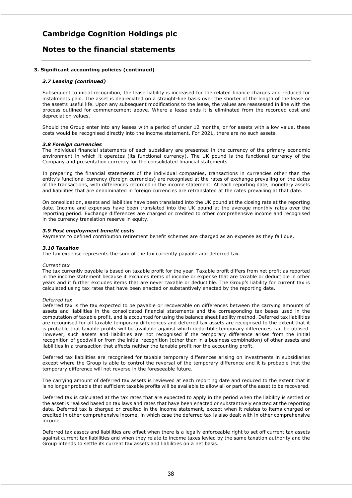### **Notes to the financial statements**

#### **3. Significant accounting policies (continued)**

#### *3.7 Leasing (continued)*

Subsequent to initial recognition, the lease liability is increased for the related finance charges and reduced for instalments paid. The asset is depreciated on a straight-line basis over the shorter of the length of the lease or the asset's useful life. Upon any subsequent modifications to the lease, the values are reassessed in line with the process outlined for commencement above. Where a lease ends it is eliminated from the recorded cost and depreciation values.

Should the Group enter into any leases with a period of under 12 months, or for assets with a low value, these costs would be recognised directly into the income statement. For 2021, there are no such assets.

#### *3.8 Foreign currencies*

The individual financial statements of each subsidiary are presented in the currency of the primary economic environment in which it operates (its functional currency). The UK pound is the functional currency of the Company and presentation currency for the consolidated financial statements.

In preparing the financial statements of the individual companies, transactions in currencies other than the entity's functional currency (foreign currencies) are recognised at the rates of exchange prevailing on the dates of the transactions, with differences recorded in the income statement. At each reporting date, monetary assets and liabilities that are denominated in foreign currencies are retranslated at the rates prevailing at that date.

On consolidation, assets and liabilities have been translated into the UK pound at the closing rate at the reporting date. Income and expenses have been translated into the UK pound at the average monthly rates over the reporting period. Exchange differences are charged or credited to other comprehensive income and recognised in the currency translation reserve in equity.

#### *3.9 Post employment benefit costs*

Payments to defined contribution retirement benefit schemes are charged as an expense as they fall due.

#### *3.10 Taxation*

The tax expense represents the sum of the tax currently payable and deferred tax.

#### *Current tax*

The tax currently payable is based on taxable profit for the year. Taxable profit differs from net profit as reported in the income statement because it excludes items of income or expense that are taxable or deductible in other years and it further excludes items that are never taxable or deductible. The Group's liability for current tax is calculated using tax rates that have been enacted or substantively enacted by the reporting date.

#### *Deferred tax*

Deferred tax is the tax expected to be payable or recoverable on differences between the carrying amounts of assets and liabilities in the consolidated financial statements and the corresponding tax bases used in the computation of taxable profit, and is accounted for using the balance sheet liability method. Deferred tax liabilities are recognised for all taxable temporary differences and deferred tax assets are recognised to the extent that it is probable that taxable profits will be available against which deductible temporary differences can be utilised. However, such assets and liabilities are not recognised if the temporary difference arises from the initial recognition of goodwill or from the initial recognition (other than in a business combination) of other assets and liabilities in a transaction that affects neither the taxable profit nor the accounting profit.

Deferred tax liabilities are recognised for taxable temporary differences arising on investments in subsidiaries except where the Group is able to control the reversal of the temporary difference and it is probable that the temporary difference will not reverse in the foreseeable future.

The carrying amount of deferred tax assets is reviewed at each reporting date and reduced to the extent that it is no longer probable that sufficient taxable profits will be available to allow all or part of the asset to be recovered.

Deferred tax is calculated at the tax rates that are expected to apply in the period when the liability is settled or the asset is realised based on tax laws and rates that have been enacted or substantively enacted at the reporting date. Deferred tax is charged or credited in the income statement, except when it relates to items charged or credited in other comprehensive income, in which case the deferred tax is also dealt with in other comprehensive income.

Deferred tax assets and liabilities are offset when there is a legally enforceable right to set off current tax assets against current tax liabilities and when they relate to income taxes levied by the same taxation authority and the Group intends to settle its current tax assets and liabilities on a net basis.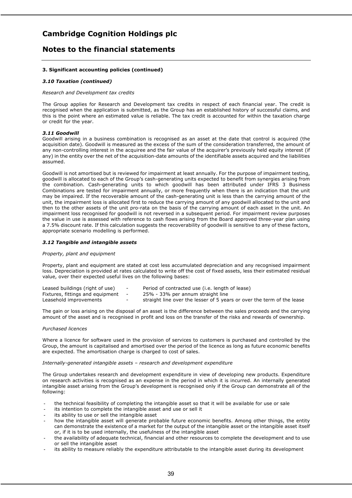### **Notes to the financial statements**

#### **3. Significant accounting policies (continued)**

#### *3.10 Taxation (continued)*

#### *Research and Development tax credits*

The Group applies for Research and Development tax credits in respect of each financial year. The credit is recognised when the application is submitted, as the Group has an established history of successful claims, and this is the point where an estimated value is reliable. The tax credit is accounted for within the taxation charge or credit for the year.

#### *3.11 Goodwill*

Goodwill arising in a business combination is recognised as an asset at the date that control is acquired (the acquisition date). Goodwill is measured as the excess of the sum of the consideration transferred, the amount of any non-controlling interest in the acquiree and the fair value of the acquirer's previously held equity interest (if any) in the entity over the net of the acquisition-date amounts of the identifiable assets acquired and the liabilities assumed.

Goodwill is not amortised but is reviewed for impairment at least annually. For the purpose of impairment testing, goodwill is allocated to each of the Group's cash-generating units expected to benefit from synergies arising from the combination. Cash-generating units to which goodwill has been attributed under IFRS 3 Business Combinations are tested for impairment annually, or more frequently when there is an indication that the unit may be impaired. If the recoverable amount of the cash-generating unit is less than the carrying amount of the unit, the impairment loss is allocated first to reduce the carrying amount of any goodwill allocated to the unit and then to the other assets of the unit pro-rata on the basis of the carrying amount of each asset in the unit. An impairment loss recognised for goodwill is not reversed in a subsequent period. For impairment review purposes the value in use is assessed with reference to cash flows arising from the Board approved three-year plan using a 7.5% discount rate. If this calculation suggests the recoverability of goodwill is sensitive to any of these factors, appropriate scenario modelling is performed.

#### *3.12 Tangible and intangible assets*

#### *Property, plant and equipment*

Property, plant and equipment are stated at cost less accumulated depreciation and any recognised impairment loss. Depreciation is provided at rates calculated to write off the cost of fixed assets, less their estimated residual value, over their expected useful lives on the following bases:

| Leased buildings (right of use)  | Period of contracted use (i.e. length of lease)                        |
|----------------------------------|------------------------------------------------------------------------|
| Fixtures, fittings and equipment | 25% - 33% per annum straight line                                      |
| Leasehold improvements           | straight line over the lesser of 5 years or over the term of the lease |

The gain or loss arising on the disposal of an asset is the difference between the sales proceeds and the carrying amount of the asset and is recognised in profit and loss on the transfer of the risks and rewards of ownership.

#### *Purchased licences*

Where a licence for software used in the provision of services to customers is purchased and controlled by the Group, the amount is capitalised and amortised over the period of the licence as long as future economic benefits are expected. The amortisation charge is charged to cost of sales.

#### *Internally-generated intangible assets – research and development expenditure*

The Group undertakes research and development expenditure in view of developing new products. Expenditure on research activities is recognised as an expense in the period in which it is incurred. An internally generated intangible asset arising from the Group's development is recognised only if the Group can demonstrate all of the following:

- the technical feasibility of completing the intangible asset so that it will be available for use or sale
- its intention to complete the intangible asset and use or sell it
- its ability to use or sell the intangible asset
- how the intangible asset will generate probable future economic benefits. Among other things, the entity can demonstrate the existence of a market for the output of the intangible asset or the intangible asset itself or, if it is to be used internally, the usefulness of the intangible asset
- the availability of adequate technical, financial and other resources to complete the development and to use or sell the intangible asset
- its ability to measure reliably the expenditure attributable to the intangible asset during its development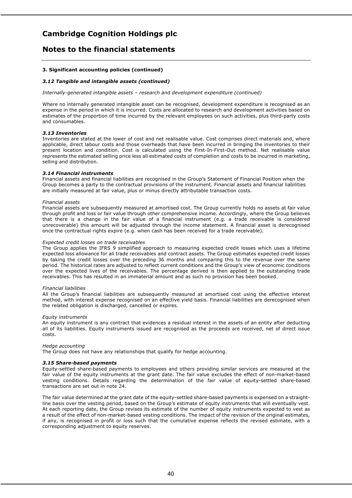### **Notes to the financial statements**

#### **3. Significant accounting policies (continued)**

#### *3.12 Tangible and intangible assets (continued)*

*Internally-generated intangible assets – research and development expenditure (continued)*

Where no internally generated intangible asset can be recognised, development expenditure is recognised as an expense in the period in which it is incurred. Costs are allocated to research and development activities based on estimates of the proportion of time incurred by the relevant employees on such activities, plus third-party costs and consumables.

#### *3.13 Inventories*

Inventories are stated at the lower of cost and net realisable value. Cost comprises direct materials and, where applicable, direct labour costs and those overheads that have been incurred in bringing the inventories to their present location and condition. Cost is calculated using the First-In-First-Out method. Net realisable value represents the estimated selling price less all estimated costs of completion and costs to be incurred in marketing, selling and distribution.

#### *3.14 Financial instruments*

Financial assets and financial liabilities are recognised in the Group's Statement of Financial Position when the Group becomes a party to the contractual provisions of the instrument. Financial assets and financial liabilities are initially measured at fair value, plus or minus directly attributable transaction costs.

#### *Financial assets*

Financial assets are subsequently measured at amortised cost. The Group currently holds no assets at fair value through profit and loss or fair value through other comprehensive income. Accordingly, where the Group believes that there is a change in the fair value of a financial instrument (e.g. a trade receivable is considered unrecoverable) this amount will be adjusted through the income statement. A financial asset is derecognised once the contractual rights expire (e.g. when cash has been received for a trade receivable).

#### *Expected credit losses on trade receivables*

The Group applies the IFRS 9 simplified approach to measuring expected credit losses which uses a lifetime expected loss allowance for all trade receivables and contract assets. The Group estimates expected credit losses by taking the credit losses over the preceding 36 months and comparing this to the revenue over the same period. The historical rates are adjusted to reflect current conditions and the Group's view of economic conditions over the expected lives of the receivables. The percentage derived is then applied to the outstanding trade receivables. This has resulted in an immaterial amount and as such no provision has been booked.

#### *Financial liabilities*

All the Group's financial liabilities are subsequently measured at amortised cost using the effective interest method, with interest expense recognised on an effective yield basis. Financial liabilities are derecognised when the related obligation is discharged, cancelled or expires.

#### *Equity instruments*

An equity instrument is any contract that evidences a residual interest in the assets of an entity after deducting all of its liabilities. Equity instruments issued are recognised as the proceeds are received, net of direct issue costs.

#### *Hedge accounting*

The Group does not have any relationships that qualify for hedge accounting.

#### *3.15 Share-based payments*

Equity-settled share-based payments to employees and others providing similar services are measured at the fair value of the equity instruments at the grant date. The fair value excludes the effect of non-market-based vesting conditions. Details regarding the determination of the fair value of equity-settled share-based transactions are set out in note 24.

The fair value determined at the grant date of the equity-settled share-based payments is expensed on a straightline basis over the vesting period, based on the Group's estimate of equity instruments that will eventually vest. At each reporting date, the Group revises its estimate of the number of equity instruments expected to vest as a result of the effect of non-market-based vesting conditions. The impact of the revision of the original estimates, if any, is recognised in profit or loss such that the cumulative expense reflects the revised estimate, with a corresponding adjustment to equity reserves.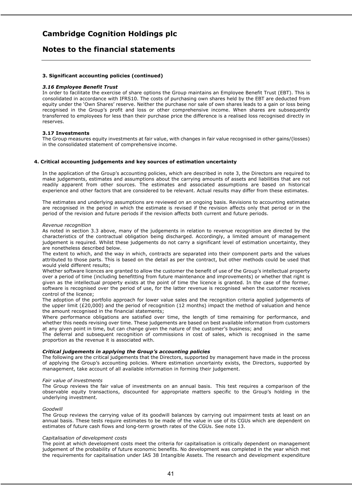### **Notes to the financial statements**

#### **3. Significant accounting policies (continued)**

#### *3.16 Employee Benefit Trust*

In order to facilitate the exercise of share options the Group maintains an Employee Benefit Trust (EBT). This is consolidated in accordance with IFRS10. The costs of purchasing own shares held by the EBT are deducted from equity under the 'Own Shares' reserve. Neither the purchase nor sale of own shares leads to a gain or loss being recognised in the Group's profit and loss or other comprehensive income. When shares are subsequently transferred to employees for less than their purchase price the difference is a realised loss recognised directly in reserves.

#### **3.17 Investments**

The Group measures equity investments at fair value, with changes in fair value recognised in other gains/(losses) in the consolidated statement of comprehensive income.

#### **4. Critical accounting judgements and key sources of estimation uncertainty**

In the application of the Group's accounting policies, which are described in note 3, the Directors are required to make judgements, estimates and assumptions about the carrying amounts of assets and liabilities that are not readily apparent from other sources. The estimates and associated assumptions are based on historical experience and other factors that are considered to be relevant. Actual results may differ from these estimates.

The estimates and underlying assumptions are reviewed on an ongoing basis. Revisions to accounting estimates are recognised in the period in which the estimate is revised if the revision affects only that period or in the period of the revision and future periods if the revision affects both current and future periods.

#### *Revenue recognition*

As noted in section 3.3 above, many of the judgements in relation to revenue recognition are directed by the characteristics of the contractual obligation being discharged. Accordingly, a limited amount of management judgement is required. Whilst these judgements do not carry a significant level of estimation uncertainty, they are nonetheless described below.

The extent to which, and the way in which, contracts are separated into their component parts and the values attributed to those parts. This is based on the detail as per the contract, but other methods could be used that would yield different results;

Whether software licences are granted to allow the customer the benefit of use of the Group's intellectual property over a period of time (including benefitting from future maintenance and improvements) or whether that right is given as the intellectual property exists at the point of time the licence is granted. In the case of the former, software is recognised over the period of use, for the latter revenue is recognised when the customer receives control of the licence;

The adoption of the portfolio approach for lower value sales and the recognition criteria applied judgements of the upper limit ( $£20,000$ ) and the period of recognition (12 months) impact the method of valuation and hence the amount recognised in the financial statements;

Where performance obligations are satisfied over time, the length of time remaining for performance, and whether this needs revising over time. These judgements are based on best available information from customers at any given point in time, but can change given the nature of the customer's business; and

The deferral and subsequent recognition of commissions in cost of sales, which is recognised in the same proportion as the revenue it is associated with.

#### *Critical judgements in applying the Group's accounting policies*

The following are the critical judgements that the Directors, supported by management have made in the process of applying the Group's accounting policies. Where estimation uncertainty exists, the Directors, supported by management, take account of all available information in forming their judgement.

#### *Fair value of investments*

The Group reviews the fair value of investments on an annual basis. This test requires a comparison of the observable equity transactions, discounted for appropriate matters specific to the Group's holding in the underlying investment.

#### *Goodwill*

The Group reviews the carrying value of its goodwill balances by carrying out impairment tests at least on an annual basis. These tests require estimates to be made of the value in use of its CGUs which are dependent on estimates of future cash flows and long-term growth rates of the CGUs. See note 13.

#### *Capitalisation of development costs*

The point at which development costs meet the criteria for capitalisation is critically dependent on management judgement of the probability of future economic benefits. No development was completed in the year which met the requirements for capitalisation under IAS 38 Intangible Assets. The research and development expenditure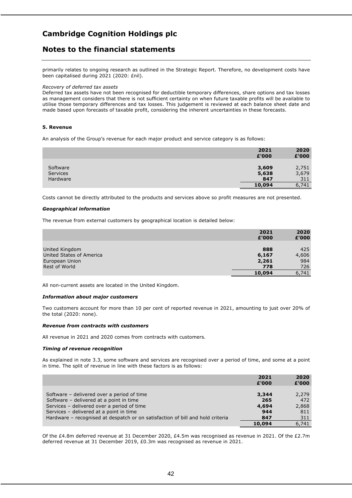### **Notes to the financial statements**

primarily relates to ongoing research as outlined in the Strategic Report. Therefore, no development costs have been capitalised during 2021 (2020: £nil).

#### *Recovery of deferred tax assets*

Deferred tax assets have not been recognised for deductible temporary differences, share options and tax losses as management considers that there is not sufficient certainty on when future taxable profits will be available to utilise those temporary differences and tax losses. This judgement is reviewed at each balance sheet date and made based upon forecasts of taxable profit, considering the inherent uncertainties in these forecasts.

#### **5. Revenue**

An analysis of the Group's revenue for each major product and service category is as follows:

|                                         | 2021<br>£'000         | 2020<br>£'000         |
|-----------------------------------------|-----------------------|-----------------------|
| Software<br><b>Services</b><br>Hardware | 3,609<br>5,638<br>847 | 2,751<br>3,679<br>311 |
|                                         | 10,094                | 6.741                 |

Costs cannot be directly attributed to the products and services above so profit measures are not presented.

#### *Geographical information*

The revenue from external customers by geographical location is detailed below:

|                          | 2021<br>£'000 | 2020<br>£'000 |
|--------------------------|---------------|---------------|
| United Kingdom           | 888           | 425           |
| United States of America | 6,167         | 4,606         |
| European Union           | 2,261         | 984           |
| Rest of World            | 778           | 726           |
|                          | 10,094        | 6,741         |

All non-current assets are located in the United Kingdom.

#### *Information about major customers*

Two customers account for more than 10 per cent of reported revenue in 2021, amounting to just over 20% of the total (2020: none).

#### *Revenue from contracts with customers*

All revenue in 2021 and 2020 comes from contracts with customers.

#### *Timing of revenue recognition*

As explained in note 3.3, some software and services are recognised over a period of time, and some at a point in time. The split of revenue in line with these factors is as follows:

|                                                                                | 2021<br>£'000 | 2020<br>£'000 |
|--------------------------------------------------------------------------------|---------------|---------------|
|                                                                                |               |               |
| Software – delivered over a period of time                                     | 3,344         | 2,279         |
| Software - delivered at a point in time                                        | 265           | 472           |
| Services - delivered over a period of time                                     | 4,694         | 2,868         |
| Services - delivered at a point in time                                        | 944           | 811           |
| Hardware - recognised at despatch or on satisfaction of bill and hold criteria | 847           | 311           |
|                                                                                | 10,094        | 6.741         |

Of the £4.8m deferred revenue at 31 December 2020, £4.5m was recognised as revenue in 2021. Of the £2.7m deferred revenue at 31 December 2019, £0.3m was recognised as revenue in 2021.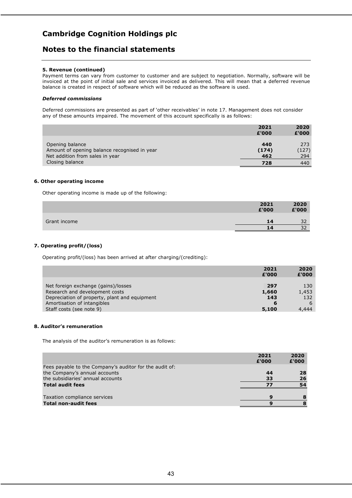### **Notes to the financial statements**

#### **5. Revenue (continued)**

Payment terms can vary from customer to customer and are subject to negotiation. Normally, software will be invoiced at the point of initial sale and services invoiced as delivered. This will mean that a deferred revenue balance is created in respect of software which will be reduced as the software is used.

#### *Deferred commissions*

Deferred commissions are presented as part of 'other receivables' in note 17. Management does not consider any of these amounts impaired. The movement of this account specifically is as follows:

|                                                                                                    | 2021<br>£'000       | 2020<br>£'000       |
|----------------------------------------------------------------------------------------------------|---------------------|---------------------|
| Opening balance<br>Amount of opening balance recognised in year<br>Net addition from sales in year | 440<br>(174)<br>462 | 273<br>(127)<br>294 |
| Closing balance                                                                                    | 728                 | 440                 |

#### **6. Other operating income**

Other operating income is made up of the following:

|              | 2021<br>£'000 | 2020<br>£'000        |
|--------------|---------------|----------------------|
| Grant income |               | ົາ<br>ے ر            |
|              | 14            | $\sim$ $\sim$<br>ے ر |

#### **7. Operating profit/(loss)**

Operating profit/(loss) has been arrived at after charging/(crediting):

|                                               | 2021<br>£'000 | 2020<br>£'000 |
|-----------------------------------------------|---------------|---------------|
|                                               |               |               |
| Net foreign exchange (gains)/losses           | 297           | 130           |
| Research and development costs                | 1,660         | 1,453         |
| Depreciation of property, plant and equipment | 143           | 132           |
| Amortisation of intangibles                   | 6             | 6             |
| Staff costs (see note 9)                      | 5,100         | 4,444         |

#### **8. Auditor's remuneration**

The analysis of the auditor's remuneration is as follows:

|                                                         | 2021<br>£'000 | 2020<br>£'000 |
|---------------------------------------------------------|---------------|---------------|
| Fees payable to the Company's auditor for the audit of: |               |               |
| the Company's annual accounts                           | 44            | 28            |
| the subsidiaries' annual accounts                       | 33            | 26            |
| <b>Total audit fees</b>                                 | 77            | 54            |
|                                                         |               |               |
| Taxation compliance services                            |               |               |
| <b>Total non-audit fees</b>                             |               | 8             |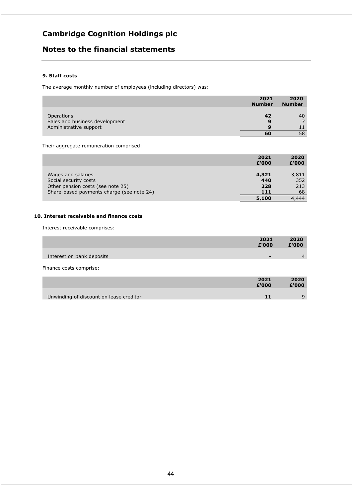### **Notes to the financial statements**

### **9. Staff costs**

The average monthly number of employees (including directors) was:

|                                              | 2021<br><b>Number</b> | 2020<br><b>Number</b> |
|----------------------------------------------|-----------------------|-----------------------|
| Operations<br>Sales and business development | 42<br>9               | 40                    |
| Administrative support                       | q                     |                       |
|                                              | 60                    | 58                    |

Their aggregate remuneration comprised:

|                                           | 2021<br>£'000 | 2020<br>£'000 |
|-------------------------------------------|---------------|---------------|
|                                           |               |               |
| Wages and salaries                        | 4,321         | 3,811         |
| Social security costs                     | 440           | 352           |
| Other pension costs (see note 25)         | 228           | 213           |
| Share-based payments charge (see note 24) | 111           | 68            |
|                                           | 5,100         | 4,444         |

#### **10. Interest receivable and finance costs**

Interest receivable comprises:

|                           | 2021<br>£'000            | 2020<br>£'000 |
|---------------------------|--------------------------|---------------|
| Interest on bank deposits | $\overline{\phantom{a}}$ | $\Delta$      |

Finance costs comprise:

| 2021                                    | 2020  |
|-----------------------------------------|-------|
| £'000                                   | £'000 |
| Unwinding of discount on lease creditor |       |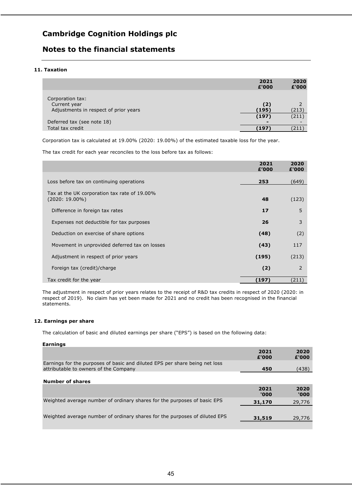### **Notes to the financial statements**

#### **11. Taxation**

|                                                                           | 2021<br>£'000  | 2020<br>£'000 |
|---------------------------------------------------------------------------|----------------|---------------|
| Corporation tax:<br>Current year<br>Adjustments in respect of prior years | (2)<br>(195)   | (213)         |
| Deferred tax (see note 18)<br>Total tax credit                            | (197)<br>(197) | (211)         |

Corporation tax is calculated at 19.00% (2020: 19.00%) of the estimated taxable loss for the year.

The tax credit for each year reconciles to the loss before tax as follows:

|                                                                   | 2021<br>£'000 | 2020<br>£'000 |
|-------------------------------------------------------------------|---------------|---------------|
| Loss before tax on continuing operations                          | 253           | (649)         |
| Tax at the UK corporation tax rate of 19.00%<br>$(2020: 19.00\%)$ | 48            | (123)         |
| Difference in foreign tax rates                                   | 17            | 5             |
| Expenses not deductible for tax purposes                          | 26            | 3             |
| Deduction on exercise of share options                            | (48)          | (2)           |
| Movement in unprovided deferred tax on losses                     | (43)          | 117           |
| Adjustment in respect of prior years                              | (195)         | (213)         |
| Foreign tax (credit)/charge                                       | (2)           | 2             |
| Tax credit for the year                                           | (197)         | (211)         |

The adjustment in respect of prior years relates to the receipt of R&D tax credits in respect of 2020 (2020: in respect of 2019). No claim has yet been made for 2021 and no credit has been recognised in the financial statements.

### **12. Earnings per share**

The calculation of basic and diluted earnings per share ("EPS") is based on the following data:

#### **Earnings**

|                                                                                                                      | 2021<br>£'000 | 2020<br>£'000 |
|----------------------------------------------------------------------------------------------------------------------|---------------|---------------|
| Earnings for the purposes of basic and diluted EPS per share being net loss<br>attributable to owners of the Company | 450           | (438)         |
| <b>Number of shares</b>                                                                                              |               |               |
|                                                                                                                      | 2021<br>'000' | 2020<br>'000' |
| Weighted average number of ordinary shares for the purposes of basic EPS                                             | 31,170        | 29,776        |
| Weighted average number of ordinary shares for the purposes of diluted EPS                                           | 31,519        | 29,776        |
|                                                                                                                      |               |               |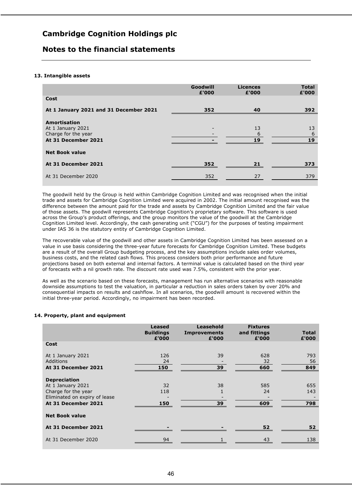### **Notes to the financial statements**

#### **13. Intangible assets**

|                                                                                        | Goodwill<br>£'000 | <b>Licences</b><br>£'000 | <b>Total</b><br>£'000 |
|----------------------------------------------------------------------------------------|-------------------|--------------------------|-----------------------|
| Cost                                                                                   |                   |                          |                       |
| At 1 January 2021 and 31 December 2021                                                 | 352               | 40                       | 392                   |
| <b>Amortisation</b><br>At 1 January 2021<br>Charge for the year<br>At 31 December 2021 |                   | 13<br>6<br>19            | 13<br>6<br>19         |
| <b>Net Book value</b>                                                                  |                   |                          |                       |
| At 31 December 2021                                                                    | 352               | 21                       | 373                   |
| At 31 December 2020                                                                    | 352               | 27                       | 379                   |

The goodwill held by the Group is held within Cambridge Cognition Limited and was recognised when the initial trade and assets for Cambridge Cognition Limited were acquired in 2002. The initial amount recognised was the difference between the amount paid for the trade and assets by Cambridge Cognition Limited and the fair value of those assets. The goodwill represents Cambridge Cognition's proprietary software. This software is used across the Group's product offerings, and the group monitors the value of the goodwill at the Cambridge Cognition Limited level. Accordingly, the cash generating unit ("CGU") for the purposes of testing impairment under IAS 36 is the statutory entity of Cambridge Cognition Limited.

The recoverable value of the goodwill and other assets in Cambridge Cognition Limited has been assessed on a value in use basis considering the three-year future forecasts for Cambridge Cognition Limited. These budgets are a result of the overall Group budgeting process, and the key assumptions include sales order volumes, business costs, and the related cash flows. This process considers both prior performance and future projections based on both external and internal factors. A terminal value is calculated based on the third year of forecasts with a nil growth rate. The discount rate used was 7.5%, consistent with the prior year.

As well as the scenario based on these forecasts, management has run alternative scenarios with reasonable downside assumptions to test the valuation, in particular a reduction in sales orders taken by over 20% and consequential impacts on results and cashflow. In all scenarios, the goodwill amount is recovered within the initial three-year period. Accordingly, no impairment has been recorded.

#### **14. Property, plant and equipment**

|                                                                                                                         | <b>Leased</b><br><b>Buildings</b><br>£'000 | Leasehold<br><b>Improvements</b><br>£'000 | <b>Fixtures</b><br>and fittings<br>£'000 | <b>Total</b><br>£'000 |
|-------------------------------------------------------------------------------------------------------------------------|--------------------------------------------|-------------------------------------------|------------------------------------------|-----------------------|
| Cost                                                                                                                    |                                            |                                           |                                          |                       |
| At 1 January 2021<br><b>Additions</b><br>At 31 December 2021                                                            | 126<br>24<br>150                           | 39<br>39                                  | 628<br>32<br>660                         | 793<br>56<br>849      |
| <b>Depreciation</b><br>At 1 January 2021<br>Charge for the year<br>Eliminated on expiry of lease<br>At 31 December 2021 | 32<br>118<br>150                           | 38<br>39                                  | 585<br>24<br>609                         | 655<br>143<br>798     |
| <b>Net Book value</b>                                                                                                   |                                            |                                           |                                          |                       |
| At 31 December 2021                                                                                                     |                                            |                                           | 52                                       | 52                    |
| At 31 December 2020                                                                                                     | 94                                         |                                           | 43                                       | 138                   |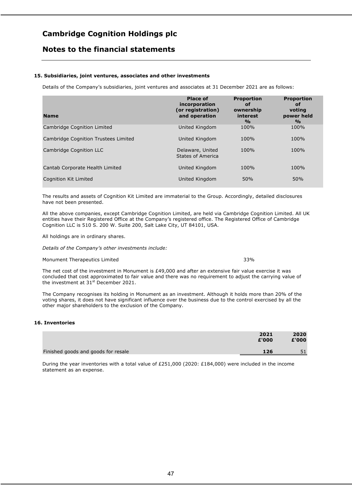## **Notes to the financial statements**

### **15. Subsidiaries, joint ventures, associates and other investments**

Details of the Company's subsidiaries, joint ventures and associates at 31 December 2021 are as follows:

| <b>Name</b>                          | <b>Place of</b><br>incorporation<br>(or registration)<br>and operation | <b>Proportion</b><br>οf<br>ownership<br>interest<br>$\frac{0}{\alpha}$ | <b>Proportion</b><br><b>of</b><br>voting<br>power held<br>$\frac{0}{0}$ |
|--------------------------------------|------------------------------------------------------------------------|------------------------------------------------------------------------|-------------------------------------------------------------------------|
| Cambridge Cognition Limited          | United Kingdom                                                         | 100%                                                                   | 100%                                                                    |
| Cambridge Cognition Trustees Limited | United Kingdom                                                         | 100%                                                                   | 100%                                                                    |
| Cambridge Cognition LLC              | Delaware, United<br>States of America                                  | 100%                                                                   | 100%                                                                    |
| Cantab Corporate Health Limited      | United Kingdom                                                         | 100%                                                                   | 100%                                                                    |
| Cognition Kit Limited                | United Kingdom                                                         | 50%                                                                    | 50%                                                                     |

The results and assets of Cognition Kit Limited are immaterial to the Group. Accordingly, detailed disclosures have not been presented.

All the above companies, except Cambridge Cognition Limited, are held via Cambridge Cognition Limited. All UK entities have their Registered Office at the Company's registered office. The Registered Office of Cambridge Cognition LLC is 510 S. 200 W. Suite 200, Salt Lake City, UT 84101, USA.

All holdings are in ordinary shares.

*Details of the Company's other investments include:*

Monument Therapeutics Limited 33%

The net cost of the investment in Monument is £49,000 and after an extensive fair value exercise it was concluded that cost approximated to fair value and there was no requirement to adjust the carrying value of the investment at  $31<sup>st</sup>$  December 2021.

The Company recognises its holding in Monument as an investment. Although it holds more than 20% of the voting shares, it does not have significant influence over the business due to the control exercised by all the other major shareholders to the exclusion of the Company.

### **16. Inventories**

|                                     | 2021<br>£'000 | 2020<br>£'000 |
|-------------------------------------|---------------|---------------|
| Finished goods and goods for resale | 126           | 51            |

During the year inventories with a total value of £251,000 (2020: £184,000) were included in the income statement as an expense.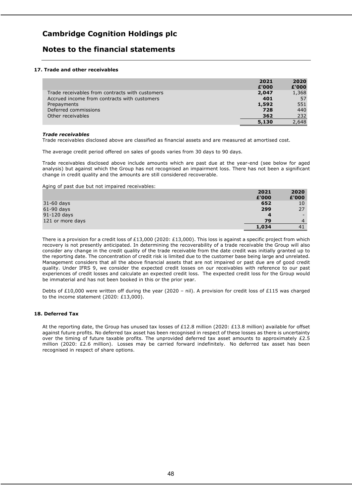### **Notes to the financial statements**

#### **17. Trade and other receivables**

|                                                 | 2021<br>£'000 | 2020<br>£'000 |
|-------------------------------------------------|---------------|---------------|
| Trade receivables from contracts with customers | 2,047         | 1,368         |
| Accrued income from contracts with customers    | 401           | 57            |
| Prepayments                                     | 1,592         | 551           |
| Deferred commissions                            | 728           | 440           |
| Other receivables                               | 362           | 232           |
|                                                 | 5,130         | 2,648         |

#### *Trade receivables*

Trade receivables disclosed above are classified as financial assets and are measured at amortised cost.

The average credit period offered on sales of goods varies from 30 days to 90 days.

Trade receivables disclosed above include amounts which are past due at the year-end (see below for aged analysis) but against which the Group has not recognised an impairment loss. There has not been a significant change in credit quality and the amounts are still considered recoverable.

Aging of past due but not impaired receivables:

|                  | 2021  | 2020  |
|------------------|-------|-------|
|                  | £'000 | £'000 |
| $31-60$ days     | 652   | 10    |
| $61-90$ days     | 299   | 27    |
| 91-120 days      | 4     |       |
| 121 or more days | 79    | 4     |
|                  | 1,034 | 41    |

There is a provision for a credit loss of £13,000 (2020: £13,000). This loss is against a specific project from which recovery is not presently anticipated. In determining the recoverability of a trade receivable the Group will also consider any change in the credit quality of the trade receivable from the date credit was initially granted up to the reporting date. The concentration of credit risk is limited due to the customer base being large and unrelated. Management considers that all the above financial assets that are not impaired or past due are of good credit quality. Under IFRS 9, we consider the expected credit losses on our receivables with reference to our past experiences of credit losses and calculate an expected credit loss. The expected credit loss for the Group would be immaterial and has not been booked in this or the prior year.

Debts of £10,000 were written off during the year (2020 – nil). A provision for credit loss of £115 was charged to the income statement (2020: £13,000).

#### **18. Deferred Tax**

At the reporting date, the Group has unused tax losses of £12.8 million (2020: £13.8 million) available for offset against future profits. No deferred tax asset has been recognised in respect of these losses as there is uncertainty over the timing of future taxable profits. The unprovided deferred tax asset amounts to approximately £2.5 million (2020: £2.6 million). Losses may be carried forward indefinitely. No deferred tax asset has been recognised in respect of share options.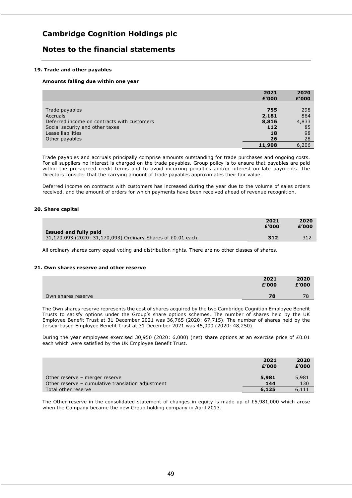### **Notes to the financial statements**

#### **19. Trade and other payables**

#### **Amounts falling due within one year**

|                                             | 2021<br>£'000 | 2020<br>£'000 |
|---------------------------------------------|---------------|---------------|
|                                             |               |               |
| Trade payables                              | 755           | 298           |
| Accruals                                    | 2,181         | 864           |
| Deferred income on contracts with customers | 8,816         | 4,833         |
| Social security and other taxes             | 112           | 85            |
| Lease liabilities                           | 18            | 98            |
| Other payables                              | 26            | 28            |
|                                             | 11,908        | 6,206         |

Trade payables and accruals principally comprise amounts outstanding for trade purchases and ongoing costs. For all suppliers no interest is charged on the trade payables. Group policy is to ensure that payables are paid within the pre-agreed credit terms and to avoid incurring penalties and/or interest on late payments. The Directors consider that the carrying amount of trade payables approximates their fair value.

Deferred income on contracts with customers has increased during the year due to the volume of sales orders received, and the amount of orders for which payments have been received ahead of revenue recognition.

#### **20. Share capital**

| Issued and fully paid                                       | 2021<br>£'000 | 2020<br>£'000 |
|-------------------------------------------------------------|---------------|---------------|
| 31,170,093 (2020: 31,170,093) Ordinary Shares of £0.01 each | 312           | 312           |

All ordinary shares carry equal voting and distribution rights. There are no other classes of shares.

#### **21. Own shares reserve and other reserve**

|                    | 2021<br>£'000 | 2020<br>£'000 |
|--------------------|---------------|---------------|
| Own shares reserve | 78            | 78            |

The Own shares reserve represents the cost of shares acquired by the two Cambridge Cognition Employee Benefit Trusts to satisfy options under the Group's share options schemes. The number of shares held by the UK Employee Benefit Trust at 31 December 2021 was 36,765 (2020: 67,715). The number of shares held by the Jersey-based Employee Benefit Trust at 31 December 2021 was 45,000 (2020: 48,250).

During the year employees exercised 30,950 (2020: 6,000) (net) share options at an exercise price of £0.01 each which were satisfied by the UK Employee Benefit Trust.

|                                                   | 2021<br>£'000 | 2020<br>£'000 |
|---------------------------------------------------|---------------|---------------|
| Other reserve – merger reserve                    | 5,981         | 5,981         |
| Other reserve - cumulative translation adjustment | 144           | 130           |
| Total other reserve                               | 6,125         | 6.111         |

The Other reserve in the consolidated statement of changes in equity is made up of £5,981,000 which arose when the Company became the new Group holding company in April 2013.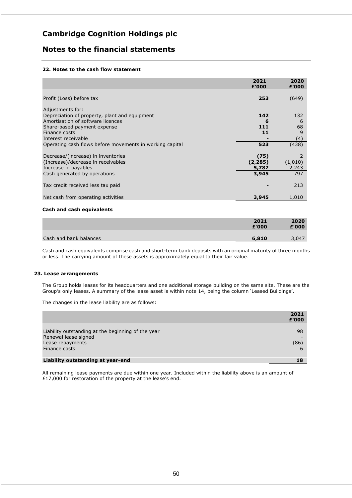### **Notes to the financial statements**

#### **22. Notes to the cash flow statement**

|                                                          | 2021<br>£'000 | 2020<br>£'000 |
|----------------------------------------------------------|---------------|---------------|
| Profit (Loss) before tax                                 | 253           | (649)         |
| Adjustments for:                                         |               |               |
| Depreciation of property, plant and equipment            | 142           | 132           |
| Amortisation of software licences                        | 6             | 6             |
| Share-based payment expense                              | 111           | 68            |
| Finance costs                                            | 11            | 9             |
| Interest receivable                                      |               | (4)           |
| Operating cash flows before movements in working capital | 523           | (438)         |
| Decrease/(increase) in inventories                       | (75)          | $\mathcal{P}$ |
| (Increase)/decrease in receivables                       | (2, 285)      | (1,010)       |
| Increase in payables                                     | 5,782         | 2,243         |
| Cash generated by operations                             | 3,945         | 797           |
| Tax credit received less tax paid                        |               | 213           |
| Net cash from operating activities                       | 3,945         | 1,010         |

#### **Cash and cash equivalents**

|                        | 2021<br>£'000 | 2020<br>£'000 |
|------------------------|---------------|---------------|
| Cash and bank balances | 6,810         | 3.047         |

Cash and cash equivalents comprise cash and short-term bank deposits with an original maturity of three months or less. The carrying amount of these assets is approximately equal to their fair value.

#### **23. Lease arrangements**

The Group holds leases for its headquarters and one additional storage building on the same site. These are the Group's only leases. A summary of the lease asset is within note 14, being the column 'Leased Buildings'.

The changes in the lease liability are as follows:

|                                                                                                                 | 2021<br>£'000   |
|-----------------------------------------------------------------------------------------------------------------|-----------------|
| Liability outstanding at the beginning of the year<br>Renewal lease signed<br>Lease repayments<br>Finance costs | 98<br>(86)<br>b |
| Liability outstanding at year-end                                                                               |                 |

All remaining lease payments are due within one year. Included within the liability above is an amount of £17,000 for restoration of the property at the lease's end.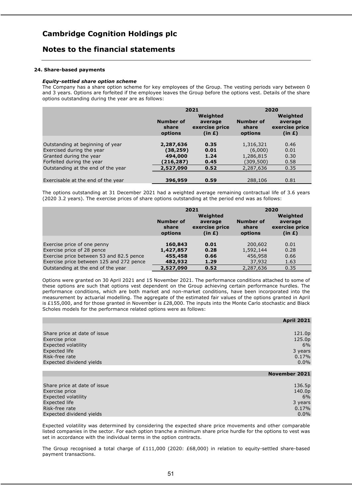### **Notes to the financial statements**

#### **24. Share-based payments**

#### *Equity-settled share option scheme*

The Company has a share option scheme for key employees of the Group. The vesting periods vary between 0 and 3 years. Options are forfeited if the employee leaves the Group before the options vest. Details of the share options outstanding during the year are as follows:

|                                                                                                                       | <b>Number of</b><br>share<br>options          | 2021<br>Weighted<br>average<br>exercise price<br>(in E) | Number of<br>share<br>options                  | 2020<br>Weighted<br>average<br>exercise price<br>(in E) |
|-----------------------------------------------------------------------------------------------------------------------|-----------------------------------------------|---------------------------------------------------------|------------------------------------------------|---------------------------------------------------------|
| Outstanding at beginning of year<br>Exercised during the year<br>Granted during the year<br>Forfeited during the year | 2,287,636<br>(38,259)<br>494,000<br>(216,287) | 0.35<br>0.01<br>1.24<br>0.45                            | 1,316,321<br>(6,000)<br>1,286,815<br>(309,500) | 0.46<br>0.01<br>0.30<br>0.58                            |
| Outstanding at the end of the year                                                                                    | 2,527,090                                     | 0.52                                                    | 2,287,636                                      | 0.35                                                    |
| Exercisable at the end of the year                                                                                    | 396,959                                       | 0.59                                                    | 288,106                                        | 0.81                                                    |

The options outstanding at 31 December 2021 had a weighted average remaining contractual life of 3.6 years (2020 3.2 years). The exercise prices of share options outstanding at the period end was as follows:

|                                                                                                                                                   | <b>Number of</b><br>share<br>options       | 2021<br>Weighted<br>average<br>exercise price<br>(in E) | <b>Number of</b><br>share<br>options      | 2020<br>Weighted<br>average<br>exercise price<br>(in E) |
|---------------------------------------------------------------------------------------------------------------------------------------------------|--------------------------------------------|---------------------------------------------------------|-------------------------------------------|---------------------------------------------------------|
| Exercise price of one penny<br>Exercise price of 28 pence<br>Exercise price between 53 and 82.5 pence<br>Exercise price between 125 and 272 pence | 160,843<br>1,427,857<br>455,458<br>482,932 | 0.01<br>0.28<br>0.66<br>1.29                            | 200,602<br>1,592,144<br>456,958<br>37,932 | 0.01<br>0.28<br>0.66<br>1.63                            |
| Outstanding at the end of the year                                                                                                                | 2,527,090                                  | 0.52                                                    | 2,287,636                                 | 0.35                                                    |

Options were granted on 30 April 2021 and 15 November 2021. The performance conditions attached to some of these options are such that options vest dependent on the Group achieving certain performance hurdles. The performance conditions, which are both market and non-market conditions, have been incorporated into the measurement by actuarial modelling. The aggregate of the estimated fair values of the options granted in April is £155,000, and for those granted in November is £28,000. The inputs into the Monte Carlo stochastic and Black Scholes models for the performance related options were as follows:

|                              | <b>April 2021</b>    |
|------------------------------|----------------------|
|                              |                      |
| Share price at date of issue | 121.0p               |
| Exercise price               | 125.0p               |
| Expected volatility          | 6%                   |
| Expected life                | 3 years              |
| Risk-free rate               | 0.17%                |
| Expected dividend yields     | $0.0\%$              |
|                              |                      |
|                              | <b>November 2021</b> |
|                              |                      |
| Share price at date of issue | 136.5p               |
| Exercise price               | 140.0p               |
| Expected volatility          | 6%                   |
| Expected life                | 3 years              |
| Risk-free rate               | 0.17%                |
| Expected dividend yields     | $0.0\%$              |

Expected volatility was determined by considering the expected share price movements and other comparable listed companies in the sector. For each option tranche a minimum share price hurdle for the options to vest was set in accordance with the individual terms in the option contracts.

The Group recognised a total charge of £111,000 (2020: £68,000) in relation to equity-settled share-based payment transactions.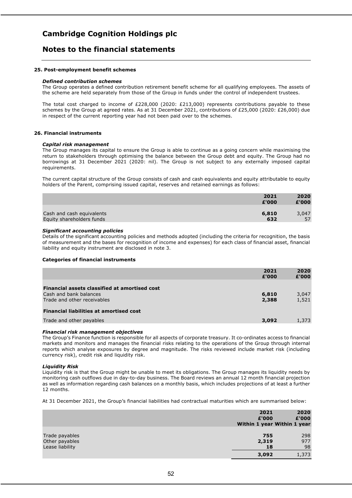### **Notes to the financial statements**

#### **25. Post-employment benefit schemes**

#### *Defined contribution schemes*

The Group operates a defined contribution retirement benefit scheme for all qualifying employees. The assets of the scheme are held separately from those of the Group in funds under the control of independent trustees.

The total cost charged to income of £228,000 (2020: £213,000) represents contributions payable to these schemes by the Group at agreed rates. As at 31 December 2021, contributions of £25,000 (2020: £26,000) due in respect of the current reporting year had not been paid over to the schemes.

#### **26. Financial instruments**

#### *Capital risk management*

The Group manages its capital to ensure the Group is able to continue as a going concern while maximising the return to stakeholders through optimising the balance between the Group debt and equity. The Group had no borrowings at 31 December 2021 (2020: nil). The Group is not subject to any externally imposed capital requirements.

The current capital structure of the Group consists of cash and cash equivalents and equity attributable to equity holders of the Parent, comprising issued capital, reserves and retained earnings as follows:

|                           | 2021<br>£'000 | 2020<br>£'000 |
|---------------------------|---------------|---------------|
| Cash and cash equivalents | 6,810         | 3,047         |
| Equity shareholders funds | 632           | 57            |

#### *Significant accounting policies*

Details of the significant accounting policies and methods adopted (including the criteria for recognition, the basis of measurement and the bases for recognition of income and expenses) for each class of financial asset, financial liability and equity instrument are disclosed in note 3.

#### **Categories of financial instruments**

|                                                      | 2021<br>£'000 | 2020<br>£'000 |
|------------------------------------------------------|---------------|---------------|
| <b>Financial assets classified at amortised cost</b> |               |               |
| Cash and bank balances                               | 6,810         | 3,047         |
| Trade and other receivables                          | 2,388         | 1,521         |
| <b>Financial liabilities at amortised cost</b>       |               |               |
| Trade and other payables                             | 3,092         | 1,373         |
|                                                      |               |               |

#### *Financial risk management objectives*

The Group's Finance function is responsible for all aspects of corporate treasury. It co-ordinates access to financial markets and monitors and manages the financial risks relating to the operations of the Group through internal reports which analyse exposures by degree and magnitude. The risks reviewed include market risk (including currency risk), credit risk and liquidity risk.

#### *Liquidity Risk*

Liquidity risk is that the Group might be unable to meet its obligations. The Group manages its liquidity needs by monitoring cash outflows due in day-to-day business. The Board reviews an annual 12 month financial projection as well as information regarding cash balances on a monthly basis, which includes projections of at least a further 12 months.

At 31 December 2021, the Group's financial liabilities had contractual maturities which are summarised below:

|                                                     | 2021<br>£'000<br>Within 1 year Within 1 year | 2020<br>£'000    |
|-----------------------------------------------------|----------------------------------------------|------------------|
| Trade payables<br>Other payables<br>Lease liability | 755<br>2,319<br>18                           | 298<br>977<br>98 |
|                                                     | 3,092                                        | 1,373            |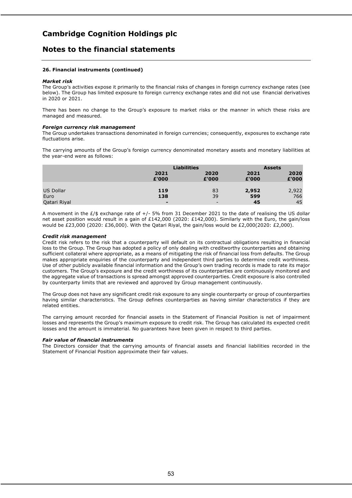### **Notes to the financial statements**

#### **26. Financial instruments (continued)**

#### *Market risk*

The Group's activities expose it primarily to the financial risks of changes in foreign currency exchange rates (see below). The Group has limited exposure to foreign currency exchange rates and did not use financial derivatives in 2020 or 2021.

There has been no change to the Group's exposure to market risks or the manner in which these risks are managed and measured.

#### *Foreign currency risk management*

The Group undertakes transactions denominated in foreign currencies; consequently, exposures to exchange rate fluctuations arise.

The carrying amounts of the Group's foreign currency denominated monetary assets and monetary liabilities at the year-end were as follows:

|                  | <b>Liabilities</b>       |                          |       | <b>Assets</b> |  |
|------------------|--------------------------|--------------------------|-------|---------------|--|
|                  | 2021                     | 2020                     | 2021  | 2020          |  |
|                  | £'000                    | £'000                    | £'000 | £'000         |  |
|                  |                          |                          |       |               |  |
| <b>US Dollar</b> | 119                      | 83                       | 2,952 | 2,922         |  |
| Euro             | 138                      | 39                       | 599   | 766           |  |
| Qatari Riyal     | $\overline{\phantom{0}}$ | $\overline{\phantom{0}}$ | 45    | 45            |  |

A movement in the £/\$ exchange rate of +/- 5% from 31 December 2021 to the date of realising the US dollar net asset position would result in a gain of £142,000 (2020: £142,000). Similarly with the Euro, the gain/loss would be £23,000 (2020: £36,000). With the Qatari Riyal, the gain/loss would be £2,000(2020: £2,000).

#### *Credit risk management*

Credit risk refers to the risk that a counterparty will default on its contractual obligations resulting in financial loss to the Group. The Group has adopted a policy of only dealing with creditworthy counterparties and obtaining sufficient collateral where appropriate, as a means of mitigating the risk of financial loss from defaults. The Group makes appropriate enquiries of the counterparty and independent third parties to determine credit worthiness. Use of other publicly available financial information and the Group's own trading records is made to rate its major customers. The Group's exposure and the credit worthiness of its counterparties are continuously monitored and the aggregate value of transactions is spread amongst approved counterparties. Credit exposure is also controlled by counterparty limits that are reviewed and approved by Group management continuously.

The Group does not have any significant credit risk exposure to any single counterparty or group of counterparties having similar characteristics. The Group defines counterparties as having similar characteristics if they are related entities.

The carrying amount recorded for financial assets in the Statement of Financial Position is net of impairment losses and represents the Group's maximum exposure to credit risk. The Group has calculated its expected credit losses and the amount is immaterial. No guarantees have been given in respect to third parties.

#### *Fair value of financial instruments*

The Directors consider that the carrying amounts of financial assets and financial liabilities recorded in the Statement of Financial Position approximate their fair values.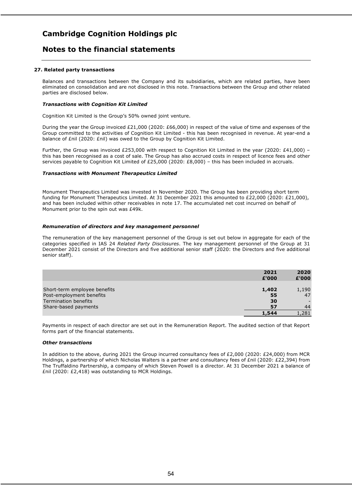### **Notes to the financial statements**

#### **27. Related party transactions**

Balances and transactions between the Company and its subsidiaries, which are related parties, have been eliminated on consolidation and are not disclosed in this note. Transactions between the Group and other related parties are disclosed below.

#### *Transactions with Cognition Kit Limited*

Cognition Kit Limited is the Group's 50% owned joint venture.

During the year the Group invoiced £21,000 (2020: £66,000) in respect of the value of time and expenses of the Group committed to the activities of Cognition Kit Limited - this has been recognised in revenue. At year-end a balance of £nil (2020: £nil) was owed to the Group by Cognition Kit Limited.

Further, the Group was invoiced £253,000 with respect to Cognition Kit Limited in the year (2020: £41,000) this has been recognised as a cost of sale. The Group has also accrued costs in respect of licence fees and other services payable to Cognition Kit Limited of £25,000 (2020: £8,000) – this has been included in accruals.

#### *Transactions with Monument Therapeutics Limited*

Monument Therapeutics Limited was invested in November 2020. The Group has been providing short term funding for Monument Therapeutics Limited. At 31 December 2021 this amounted to £22,000 (2020: £21,000), and has been included within other receivables in note 17. The accumulated net cost incurred on behalf of Monument prior to the spin out was £49k.

#### *Remuneration of directors and key management personnel*

The remuneration of the key management personnel of the Group is set out below in aggregate for each of the categories specified in IAS 24 *Related Party Disclosures*. The key management personnel of the Group at 31 December 2021 consist of the Directors and five additional senior staff (2020: the Directors and five additional senior staff).

|                              | 2021<br>£'000 | 2020<br>£'000 |
|------------------------------|---------------|---------------|
|                              |               |               |
| Short-term employee benefits | 1,402         | 1,190         |
| Post-employment benefits     | 55            | 47            |
| <b>Termination benefits</b>  | 30            |               |
| Share-based payments         | 57            | 44            |
|                              | 1,544         | 1,281         |

Payments in respect of each director are set out in the Remuneration Report. The audited section of that Report forms part of the financial statements.

#### *Other transactions*

In addition to the above, during 2021 the Group incurred consultancy fees of £2,000 (2020: £24,000) from MCR Holdings, a partnership of which Nicholas Walters is a partner and consultancy fees of £nil (2020: £22,394) from The Truffaldino Partnership, a company of which Steven Powell is a director. At 31 December 2021 a balance of £nil (2020: £2,418) was outstanding to MCR Holdings.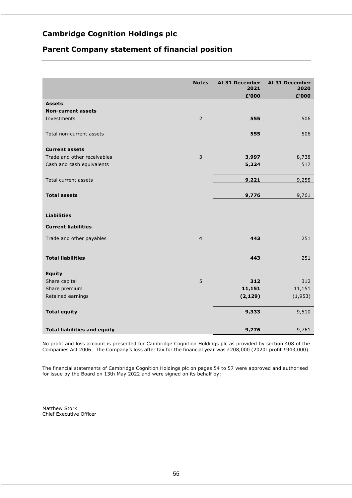### **Parent Company statement of financial position**

|                                     | <b>Notes</b>   | At 31 December<br>2021<br>£'000 | At 31 December<br>2020<br>£'000 |
|-------------------------------------|----------------|---------------------------------|---------------------------------|
| <b>Assets</b>                       |                |                                 |                                 |
| <b>Non-current assets</b>           |                |                                 |                                 |
| Investments                         | $\overline{2}$ | 555                             | 506                             |
| Total non-current assets            |                | 555                             | 506                             |
| <b>Current assets</b>               |                |                                 |                                 |
| Trade and other receivables         | $\mathsf{3}$   | 3,997                           | 8,738                           |
| Cash and cash equivalents           |                | 5,224                           | 517                             |
| Total current assets                |                | 9,221                           | 9,255                           |
| <b>Total assets</b>                 |                | 9,776                           | 9,761                           |
| <b>Liabilities</b>                  |                |                                 |                                 |
| <b>Current liabilities</b>          |                |                                 |                                 |
| Trade and other payables            | $\overline{4}$ | 443                             | 251                             |
| <b>Total liabilities</b>            |                | 443                             | 251                             |
|                                     |                |                                 |                                 |
| <b>Equity</b><br>Share capital      | 5              | 312                             | 312                             |
| Share premium                       |                | 11,151                          | 11,151                          |
| Retained earnings                   |                | (2, 129)                        | (1,953)                         |
|                                     |                |                                 |                                 |
| <b>Total equity</b>                 |                | 9,333                           | 9,510                           |
| <b>Total liabilities and equity</b> |                | 9,776                           | 9,761                           |

No profit and loss account is presented for Cambridge Cognition Holdings plc as provided by section 408 of the Companies Act 2006. The Company's loss after tax for the financial year was £208,000 (2020: profit £943,000).

The financial statements of Cambridge Cognition Holdings plc on pages 54 to 57 were approved and authorised for issue by the Board on 13th May 2022 and were signed on its behalf by:

Matthew Stork Chief Executive Officer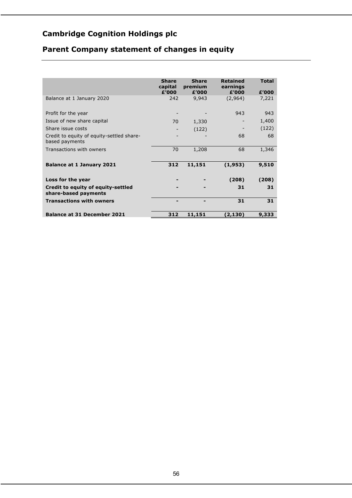## **Parent Company statement of changes in equity**

|                                           | <b>Share</b> | <b>Share</b> | <b>Retained</b> | <b>Total</b> |
|-------------------------------------------|--------------|--------------|-----------------|--------------|
|                                           | capital      | premium      | earnings        |              |
|                                           | £'000        | £'000        | £'000           | £'000        |
| Balance at 1 January 2020                 | 242          | 9,943        | (2,964)         | 7,221        |
|                                           |              |              |                 |              |
| Profit for the year                       |              |              | 943             | 943          |
| Issue of new share capital                | 70           | 1,330        |                 | 1,400        |
| Share issue costs                         |              | (122)        |                 | (122)        |
| Credit to equity of equity-settled share- |              |              | 68              | 68           |
| based payments                            |              |              |                 |              |
| Transactions with owners                  | 70           | 1,208        | 68              | 1,346        |
|                                           |              |              |                 |              |
| <b>Balance at 1 January 2021</b>          | 312          | 11,151       | (1,953)         | 9,510        |
|                                           |              |              |                 |              |
| Loss for the year                         |              |              | (208)           | (208)        |
| Credit to equity of equity-settled        |              |              | 31              | 31           |
| share-based payments                      |              |              |                 |              |
| <b>Transactions with owners</b>           |              |              | 31              | 31           |
|                                           |              |              |                 |              |
| <b>Balance at 31 December 2021</b>        | 312          | 11,151       | (2, 130)        | 9,333        |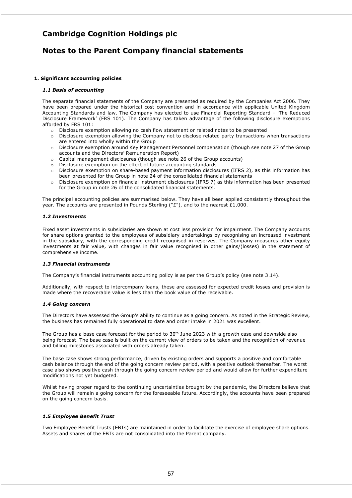### **Notes to the Parent Company financial statements**

#### **1. Significant accounting policies**

#### *1.1 Basis of accounting*

The separate financial statements of the Company are presented as required by the Companies Act 2006. They have been prepared under the historical cost convention and in accordance with applicable United Kingdom Accounting Standards and law. The Company has elected to use Financial Reporting Standard – 'The Reduced Disclosure Framework' (FRS 101). The Company has taken advantage of the following disclosure exemptions afforded by FRS 101:

- o Disclosure exemption allowing no cash flow statement or related notes to be presented
- o Disclosure exemption allowing the Company not to disclose related party transactions when transactions are entered into wholly within the Group
- o Disclosure exemption around Key Management Personnel compensation (though see note 27 of the Group accounts and the Directors' Remuneration Report)
- o Capital management disclosures (though see note 26 of the Group accounts)
- o Disclosure exemption on the effect of future accounting standards
- o Disclosure exemption on share-based payment information disclosures (IFRS 2), as this information has been presented for the Group in note 24 of the consolidated financial statements
- o Disclosure exemption on financial instrument disclosures (IFRS 7) as this information has been presented for the Group in note 26 of the consolidated financial statements.

The principal accounting policies are summarised below. They have all been applied consistently throughout the year. The accounts are presented in Pounds Sterling ("£"), and to the nearest £1,000.

#### *1.2 Investments*

Fixed asset investments in subsidiaries are shown at cost less provision for impairment. The Company accounts for share options granted to the employees of subsidiary undertakings by recognising an increased investment in the subsidiary, with the corresponding credit recognised in reserves. The Company measures other equity investments at fair value, with changes in fair value recognised in other gains/(losses) in the statement of comprehensive income.

#### *1.3 Financial instruments*

The Company's financial instruments accounting policy is as per the Group's policy (see note 3.14).

Additionally, with respect to intercompany loans, these are assessed for expected credit losses and provision is made where the recoverable value is less than the book value of the receivable.

#### *1.4 Going concern*

The Directors have assessed the Group's ability to continue as a going concern. As noted in the Strategic Review, the business has remained fully operational to date and order intake in 2021 was excellent.

The Group has a base case forecast for the period to  $30<sup>th</sup>$  June 2023 with a growth case and downside also being forecast. The base case is built on the current view of orders to be taken and the recognition of revenue and billing milestones associated with orders already taken.

The base case shows strong performance, driven by existing orders and supports a positive and comfortable cash balance through the end of the going concern review period, with a positive outlook thereafter. The worst case also shows positive cash through the going concern review period and would allow for further expenditure modifications not yet budgeted.

Whilst having proper regard to the continuing uncertainties brought by the pandemic, the Directors believe that the Group will remain a going concern for the foreseeable future. Accordingly, the accounts have been prepared on the going concern basis.

#### *1.5 Employee Benefit Trust*

Two Employee Benefit Trusts (EBTs) are maintained in order to facilitate the exercise of employee share options. Assets and shares of the EBTs are not consolidated into the Parent company.